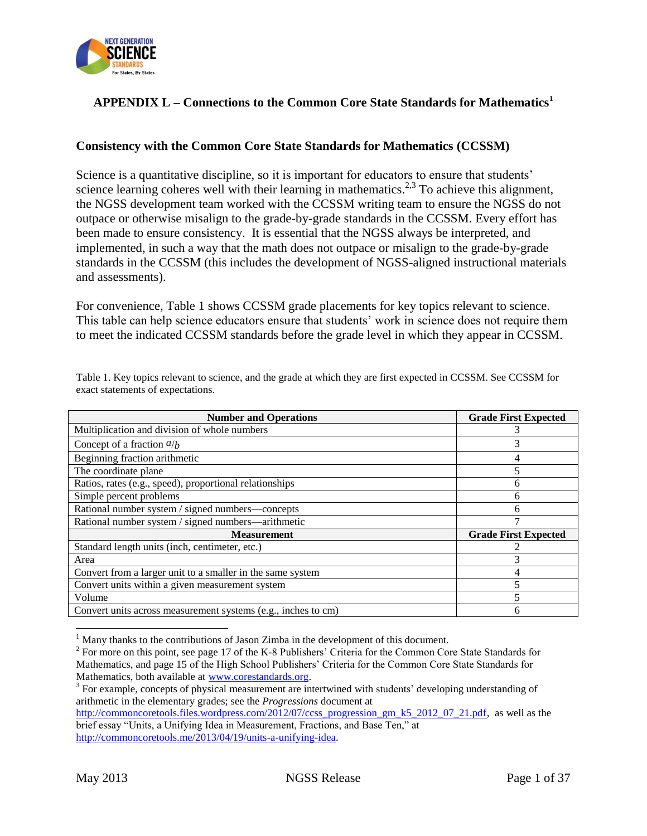

## **APPENDIX L – Connections to the Common Core State Standards for Mathematics<sup>1</sup>**

#### **Consistency with the Common Core State Standards for Mathematics (CCSSM)**

Science is a quantitative discipline, so it is important for educators to ensure that students' science learning coheres well with their learning in mathematics.<sup>2,3</sup> To achieve this alignment, the NGSS development team worked with the CCSSM writing team to ensure the NGSS do not outpace or otherwise misalign to the grade-by-grade standards in the CCSSM. Every effort has been made to ensure consistency. It is essential that the NGSS always be interpreted, and implemented, in such a way that the math does not outpace or misalign to the grade-by-grade standards in the CCSSM (this includes the development of NGSS-aligned instructional materials and assessments).

For convenience, Table 1 shows CCSSM grade placements for key topics relevant to science. This table can help science educators ensure that students' work in science does not require them to meet the indicated CCSSM standards before the grade level in which they appear in CCSSM.

| <b>Number and Operations</b>                                  | <b>Grade First Expected</b> |
|---------------------------------------------------------------|-----------------------------|
| Multiplication and division of whole numbers                  |                             |
| Concept of a fraction $a/b$                                   | 3                           |
| Beginning fraction arithmetic                                 | 4                           |
| The coordinate plane                                          |                             |
| Ratios, rates (e.g., speed), proportional relationships       | 6                           |
| Simple percent problems                                       | 6                           |
| Rational number system / signed numbers-concepts              | 6                           |
| Rational number system / signed numbers—arithmetic            | 7                           |
| <b>Measurement</b>                                            | <b>Grade First Expected</b> |
| Standard length units (inch, centimeter, etc.)                |                             |
| Area                                                          | 3                           |
| Convert from a larger unit to a smaller in the same system    | 4                           |
| Convert units within a given measurement system               |                             |
| Volume                                                        | 5                           |
| Convert units across measurement systems (e.g., inches to cm) | h                           |

Table 1. Key topics relevant to science, and the grade at which they are first expected in CCSSM. See CCSSM for exact statements of expectations.

 $\overline{\phantom{a}}$ 

 $<sup>1</sup>$  Many thanks to the contributions of Jason Zimba in the development of this document.</sup>

<sup>&</sup>lt;sup>2</sup> For more on this point, see page 17 of the K-8 Publishers' Criteria for the Common Core State Standards for Mathematics, and page 15 of the High School Publishers' Criteria for the Common Core State Standards for Mathematics, both available at [www.corestandards.org.](http://www.corestandards.org/)

<sup>&</sup>lt;sup>3</sup> For example, concepts of physical measurement are intertwined with students' developing understanding of arithmetic in the elementary grades; see the *Progressions* document at

[http://commoncoretools.files.wordpress.com/2012/07/ccss\\_progression\\_gm\\_k5\\_2012\\_07\\_21.pdf,](http://commoncoretools.files.wordpress.com/2012/07/ccss_progression_gm_k5_2012_07_21.pdf) as well as the brief essay "Units, a Unifying Idea in Measurement, Fractions, and Base Ten," at [http://commoncoretools.me/2013/04/19/units-a-unifying-idea.](http://commoncoretools.me/2013/04/19/units-a-unifying-idea)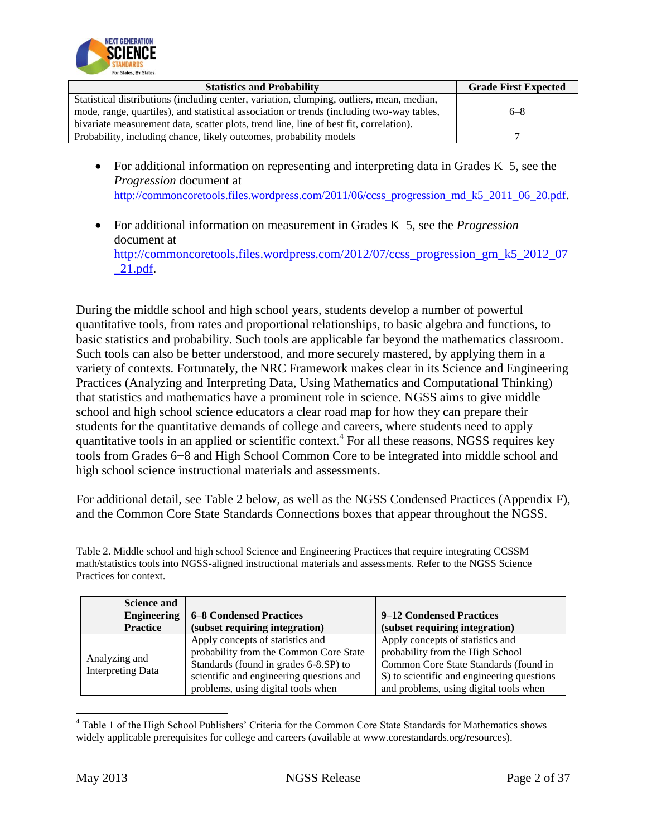

| <b>Statistics and Probability</b>                                                         | <b>Grade First Expected</b> |
|-------------------------------------------------------------------------------------------|-----------------------------|
| Statistical distributions (including center, variation, clumping, outliers, mean, median, |                             |
| mode, range, quartiles), and statistical association or trends (including two-way tables, | $6 - 8$                     |
| bivariate measurement data, scatter plots, trend line, line of best fit, correlation).    |                             |
| Probability, including chance, likely outcomes, probability models                        |                             |

- For additional information on representing and interpreting data in Grades K–5, see the *Progression* document at [http://commoncoretools.files.wordpress.com/2011/06/ccss\\_progression\\_md\\_k5\\_2011\\_06\\_20.pdf](http://commoncoretools.files.wordpress.com/2011/06/ccss_progression_md_k5_2011_06_20.pdf).
- For additional information on measurement in Grades K–5, see the *Progression* document at [http://commoncoretools.files.wordpress.com/2012/07/ccss\\_progression\\_gm\\_k5\\_2012\\_07](http://commoncoretools.files.wordpress.com/2012/07/ccss_progression_gm_k5_2012_07_21.pdf) [\\_21.pdf.](http://commoncoretools.files.wordpress.com/2012/07/ccss_progression_gm_k5_2012_07_21.pdf)

During the middle school and high school years, students develop a number of powerful quantitative tools, from rates and proportional relationships, to basic algebra and functions, to basic statistics and probability. Such tools are applicable far beyond the mathematics classroom. Such tools can also be better understood, and more securely mastered, by applying them in a variety of contexts. Fortunately, the NRC Framework makes clear in its Science and Engineering Practices (Analyzing and Interpreting Data, Using Mathematics and Computational Thinking) that statistics and mathematics have a prominent role in science. NGSS aims to give middle school and high school science educators a clear road map for how they can prepare their students for the quantitative demands of college and careers, where students need to apply quantitative tools in an applied or scientific context.<sup>4</sup> For all these reasons, NGSS requires key tools from Grades 6−8 and High School Common Core to be integrated into middle school and high school science instructional materials and assessments.

For additional detail, see Table 2 below, as well as the NGSS Condensed Practices (Appendix F), and the Common Core State Standards Connections boxes that appear throughout the NGSS.

Table 2. Middle school and high school Science and Engineering Practices that require integrating CCSSM math/statistics tools into NGSS-aligned instructional materials and assessments. Refer to the NGSS Science Practices for context.

| <b>Science and</b><br><b>Engineering</b><br><b>Practice</b> | <b>6–8 Condensed Practices</b><br>(subset requiring integration)                                                                                                                                      | 9–12 Condensed Practices<br>(subset requiring integration)                                                                                                                                            |
|-------------------------------------------------------------|-------------------------------------------------------------------------------------------------------------------------------------------------------------------------------------------------------|-------------------------------------------------------------------------------------------------------------------------------------------------------------------------------------------------------|
| Analyzing and<br><b>Interpreting Data</b>                   | Apply concepts of statistics and<br>probability from the Common Core State<br>Standards (found in grades 6-8.SP) to<br>scientific and engineering questions and<br>problems, using digital tools when | Apply concepts of statistics and<br>probability from the High School<br>Common Core State Standards (found in<br>S) to scientific and engineering questions<br>and problems, using digital tools when |

<sup>4</sup> Table 1 of the High School Publishers' Criteria for the Common Core State Standards for Mathematics shows widely applicable prerequisites for college and careers (available at www.corestandards.org/resources).

 $\overline{\phantom{a}}$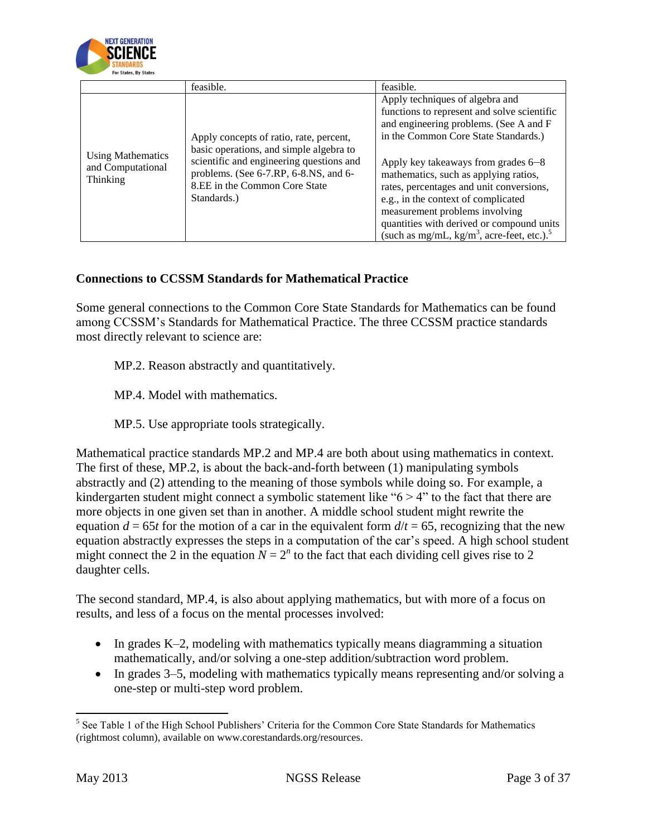

|                                                    | feasible.                                                                                                                                                                                                               | feasible.                                                                                                                                                                                                                                                                                                                                                                                                          |
|----------------------------------------------------|-------------------------------------------------------------------------------------------------------------------------------------------------------------------------------------------------------------------------|--------------------------------------------------------------------------------------------------------------------------------------------------------------------------------------------------------------------------------------------------------------------------------------------------------------------------------------------------------------------------------------------------------------------|
| Using Mathematics<br>and Computational<br>Thinking | Apply concepts of ratio, rate, percent,<br>basic operations, and simple algebra to<br>scientific and engineering questions and<br>problems. (See 6-7.RP, 6-8.NS, and 6-<br>8.EE in the Common Core State<br>Standards.) | Apply techniques of algebra and<br>functions to represent and solve scientific<br>and engineering problems. (See A and F<br>in the Common Core State Standards.)<br>Apply key takeaways from grades 6–8<br>mathematics, such as applying ratios,<br>rates, percentages and unit conversions,<br>e.g., in the context of complicated<br>measurement problems involving<br>quantities with derived or compound units |
|                                                    |                                                                                                                                                                                                                         | (such as mg/mL, $kg/m3$ , acre-feet, etc.). <sup>5</sup>                                                                                                                                                                                                                                                                                                                                                           |

#### **Connections to CCSSM Standards for Mathematical Practice**

Some general connections to the Common Core State Standards for Mathematics can be found among CCSSM's Standards for Mathematical Practice. The three CCSSM practice standards most directly relevant to science are:

MP.2. Reason abstractly and quantitatively.

MP.4. Model with mathematics.

MP.5. Use appropriate tools strategically.

Mathematical practice standards MP.2 and MP.4 are both about using mathematics in context. The first of these, MP.2, is about the back-and-forth between (1) manipulating symbols abstractly and (2) attending to the meaning of those symbols while doing so. For example, a kindergarten student might connect a symbolic statement like " $6 > 4$ " to the fact that there are more objects in one given set than in another. A middle school student might rewrite the equation  $d = 65t$  for the motion of a car in the equivalent form  $d/t = 65$ , recognizing that the new equation abstractly expresses the steps in a computation of the car's speed. A high school student might connect the 2 in the equation  $N = 2^n$  to the fact that each dividing cell gives rise to 2 daughter cells.

The second standard, MP.4, is also about applying mathematics, but with more of a focus on results, and less of a focus on the mental processes involved:

- $\bullet$  In grades K–2, modeling with mathematics typically means diagramming a situation mathematically, and/or solving a one-step addition/subtraction word problem.
- In grades 3–5, modeling with mathematics typically means representing and/or solving a one-step or multi-step word problem.

 $\overline{\phantom{a}}$ <sup>5</sup> See Table 1 of the High School Publishers' Criteria for the Common Core State Standards for Mathematics (rightmost column), available on www.corestandards.org/resources.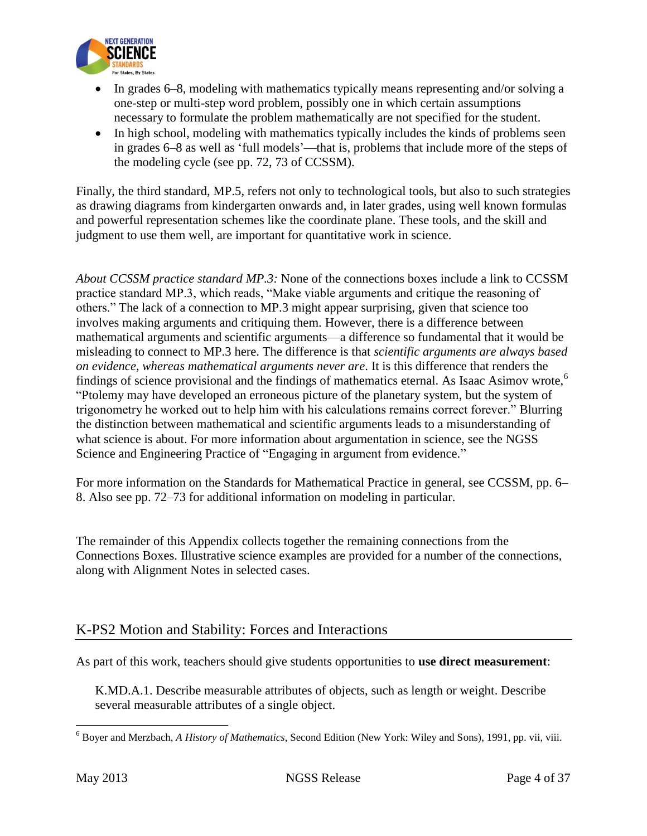

- In grades 6–8, modeling with mathematics typically means representing and/or solving a one-step or multi-step word problem, possibly one in which certain assumptions necessary to formulate the problem mathematically are not specified for the student.
- In high school, modeling with mathematics typically includes the kinds of problems seen in grades 6–8 as well as 'full models'—that is, problems that include more of the steps of the modeling cycle (see pp. 72, 73 of CCSSM).

Finally, the third standard, MP.5, refers not only to technological tools, but also to such strategies as drawing diagrams from kindergarten onwards and, in later grades, using well known formulas and powerful representation schemes like the coordinate plane. These tools, and the skill and judgment to use them well, are important for quantitative work in science.

*About CCSSM practice standard MP.3:* None of the connections boxes include a link to CCSSM practice standard MP.3, which reads, "Make viable arguments and critique the reasoning of others." The lack of a connection to MP.3 might appear surprising, given that science too involves making arguments and critiquing them. However, there is a difference between mathematical arguments and scientific arguments—a difference so fundamental that it would be misleading to connect to MP.3 here. The difference is that *scientific arguments are always based on evidence, whereas mathematical arguments never are*. It is this difference that renders the findings of science provisional and the findings of mathematics eternal. As Isaac Asimov wrote,<sup>6</sup> "Ptolemy may have developed an erroneous picture of the planetary system, but the system of trigonometry he worked out to help him with his calculations remains correct forever." Blurring the distinction between mathematical and scientific arguments leads to a misunderstanding of what science is about. For more information about argumentation in science, see the NGSS Science and Engineering Practice of "Engaging in argument from evidence."

For more information on the Standards for Mathematical Practice in general, see CCSSM, pp. 6– 8. Also see pp. 72–73 for additional information on modeling in particular.

The remainder of this Appendix collects together the remaining connections from the Connections Boxes. Illustrative science examples are provided for a number of the connections, along with Alignment Notes in selected cases.

## K-PS2 Motion and Stability: Forces and Interactions

As part of this work, teachers should give students opportunities to **use direct measurement**:

K.MD.A.1. Describe measurable attributes of objects, such as length or weight. Describe several measurable attributes of a single object.

 $\overline{\phantom{a}}$ 

<sup>6</sup> Boyer and Merzbach, *A History of Mathematics*, Second Edition (New York: Wiley and Sons), 1991, pp. vii, viii.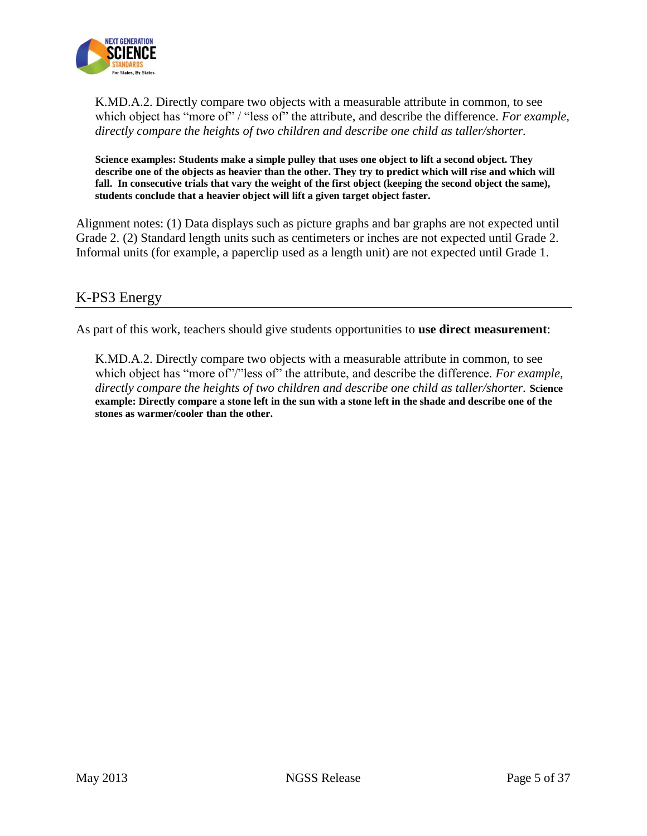

K.MD.A.2. Directly compare two objects with a measurable attribute in common, to see which object has "more of" / "less of" the attribute, and describe the difference. *For example*, *directly compare the heights of two children and describe one child as taller/shorter.*

**Science examples: Students make a simple pulley that uses one object to lift a second object. They describe one of the objects as heavier than the other. They try to predict which will rise and which will fall. In consecutive trials that vary the weight of the first object (keeping the second object the same), students conclude that a heavier object will lift a given target object faster.** 

Alignment notes: (1) Data displays such as picture graphs and bar graphs are not expected until Grade 2. (2) Standard length units such as centimeters or inches are not expected until Grade 2. Informal units (for example, a paperclip used as a length unit) are not expected until Grade 1.

## K-PS3 Energy

As part of this work, teachers should give students opportunities to **use direct measurement**:

K.MD.A.2. Directly compare two objects with a measurable attribute in common, to see which object has "more of"/"less of" the attribute, and describe the difference. *For example*, *directly compare the heights of two children and describe one child as taller/shorter.* **Science example: Directly compare a stone left in the sun with a stone left in the shade and describe one of the stones as warmer/cooler than the other.**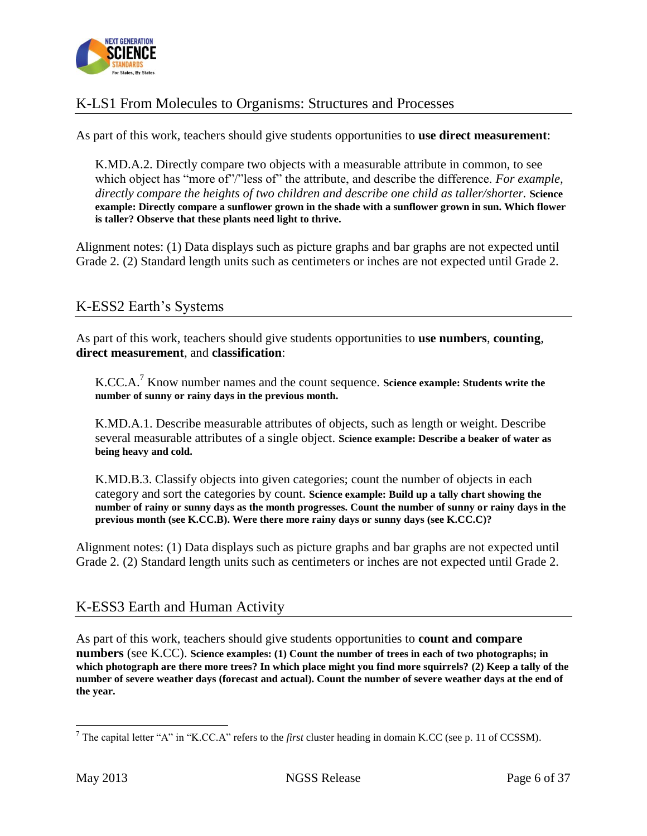

# K-LS1 From Molecules to Organisms: Structures and Processes

As part of this work, teachers should give students opportunities to **use direct measurement**:

K.MD.A.2. Directly compare two objects with a measurable attribute in common, to see which object has "more of"/"less of" the attribute, and describe the difference. *For example*, *directly compare the heights of two children and describe one child as taller/shorter.* **Science example: Directly compare a sunflower grown in the shade with a sunflower grown in sun. Which flower is taller? Observe that these plants need light to thrive.** 

Alignment notes: (1) Data displays such as picture graphs and bar graphs are not expected until Grade 2. (2) Standard length units such as centimeters or inches are not expected until Grade 2.

## K-ESS2 Earth's Systems

As part of this work, teachers should give students opportunities to **use numbers**, **counting**, **direct measurement**, and **classification**:

K.CC.A.<sup>7</sup> Know number names and the count sequence. **Science example: Students write the number of sunny or rainy days in the previous month.**

K.MD.A.1. Describe measurable attributes of objects, such as length or weight. Describe several measurable attributes of a single object. **Science example: Describe a beaker of water as being heavy and cold.**

K.MD.B.3. Classify objects into given categories; count the number of objects in each category and sort the categories by count. **Science example: Build up a tally chart showing the number of rainy or sunny days as the month progresses. Count the number of sunny or rainy days in the previous month (see K.CC.B). Were there more rainy days or sunny days (see K.CC.C)?**

Alignment notes: (1) Data displays such as picture graphs and bar graphs are not expected until Grade 2. (2) Standard length units such as centimeters or inches are not expected until Grade 2.

#### K-ESS3 Earth and Human Activity

As part of this work, teachers should give students opportunities to **count and compare numbers** (see K.CC). **Science examples: (1) Count the number of trees in each of two photographs; in which photograph are there more trees? In which place might you find more squirrels? (2) Keep a tally of the number of severe weather days (forecast and actual). Count the number of severe weather days at the end of the year.** 

 $\overline{\phantom{a}}$ 

<sup>7</sup> The capital letter "A" in "K.CC.A" refers to the *first* cluster heading in domain K.CC (see p. 11 of CCSSM).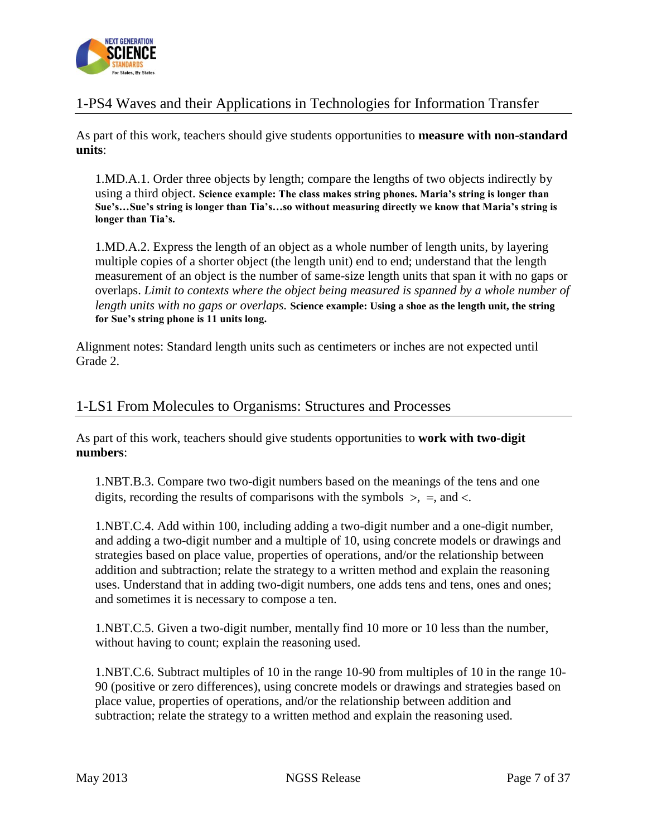

# 1-PS4 Waves and their Applications in Technologies for Information Transfer

As part of this work, teachers should give students opportunities to **measure with non-standard units**:

1.MD.A.1. Order three objects by length; compare the lengths of two objects indirectly by using a third object. **Science example: The class makes string phones. Maria's string is longer than Sue's…Sue's string is longer than Tia's…so without measuring directly we know that Maria's string is longer than Tia's.**

1.MD.A.2. Express the length of an object as a whole number of length units, by layering multiple copies of a shorter object (the length unit) end to end; understand that the length measurement of an object is the number of same-size length units that span it with no gaps or overlaps. *Limit to contexts where the object being measured is spanned by a whole number of length units with no gaps or overlaps.* **Science example: Using a shoe as the length unit, the string for Sue's string phone is 11 units long.**

Alignment notes: Standard length units such as centimeters or inches are not expected until Grade 2.

## 1-LS1 From Molecules to Organisms: Structures and Processes

As part of this work, teachers should give students opportunities to **work with two-digit numbers**:

1.NBT.B.3. Compare two two-digit numbers based on the meanings of the tens and one digits, recording the results of comparisons with the symbols  $\ge$ , =, and <.

1.NBT.C.4. Add within 100, including adding a two-digit number and a one-digit number, and adding a two-digit number and a multiple of 10, using concrete models or drawings and strategies based on place value, properties of operations, and/or the relationship between addition and subtraction; relate the strategy to a written method and explain the reasoning uses. Understand that in adding two-digit numbers, one adds tens and tens, ones and ones; and sometimes it is necessary to compose a ten.

1.NBT.C.5. Given a two-digit number, mentally find 10 more or 10 less than the number, without having to count; explain the reasoning used.

1.NBT.C.6. Subtract multiples of 10 in the range 10-90 from multiples of 10 in the range 10- 90 (positive or zero differences), using concrete models or drawings and strategies based on place value, properties of operations, and/or the relationship between addition and subtraction; relate the strategy to a written method and explain the reasoning used.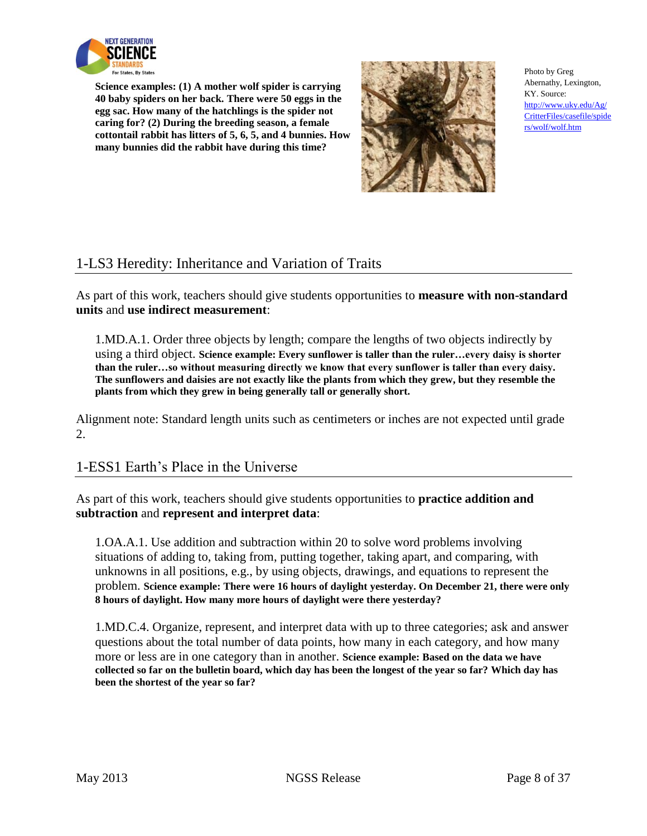

**Science examples: (1) A mother wolf spider is carrying 40 baby spiders on her back. There were 50 eggs in the egg sac. How many of the hatchlings is the spider not caring for? (2) During the breeding season, a female cottontail rabbit has litters of 5, 6, 5, and 4 bunnies. How many bunnies did the rabbit have during this time?**



Photo by Greg Abernathy, Lexington, KY. Source: [http://www.uky.edu/Ag/](http://www.uky.edu/Ag/CritterFiles/casefile/spiders/wolf/wolf.htm) [CritterFiles/casefile/spide](http://www.uky.edu/Ag/CritterFiles/casefile/spiders/wolf/wolf.htm) [rs/wolf/wolf.htm](http://www.uky.edu/Ag/CritterFiles/casefile/spiders/wolf/wolf.htm)

# 1-LS3 Heredity: Inheritance and Variation of Traits

As part of this work, teachers should give students opportunities to **measure with non-standard units** and **use indirect measurement**:

1.MD.A.1. Order three objects by length; compare the lengths of two objects indirectly by using a third object. **Science example: Every sunflower is taller than the ruler…every daisy is shorter than the ruler…so without measuring directly we know that every sunflower is taller than every daisy. The sunflowers and daisies are not exactly like the plants from which they grew, but they resemble the plants from which they grew in being generally tall or generally short.**

Alignment note: Standard length units such as centimeters or inches are not expected until grade 2.

## 1-ESS1 Earth's Place in the Universe

As part of this work, teachers should give students opportunities to **practice addition and subtraction** and **represent and interpret data**:

1.OA.A.1. Use addition and subtraction within 20 to solve word problems involving situations of adding to, taking from, putting together, taking apart, and comparing, with unknowns in all positions, e.g., by using objects, drawings, and equations to represent the problem. **Science example: There were 16 hours of daylight yesterday. On December 21, there were only 8 hours of daylight. How many more hours of daylight were there yesterday?**

1.MD.C.4. Organize, represent, and interpret data with up to three categories; ask and answer questions about the total number of data points, how many in each category, and how many more or less are in one category than in another. **Science example: Based on the data we have collected so far on the bulletin board, which day has been the longest of the year so far? Which day has been the shortest of the year so far?**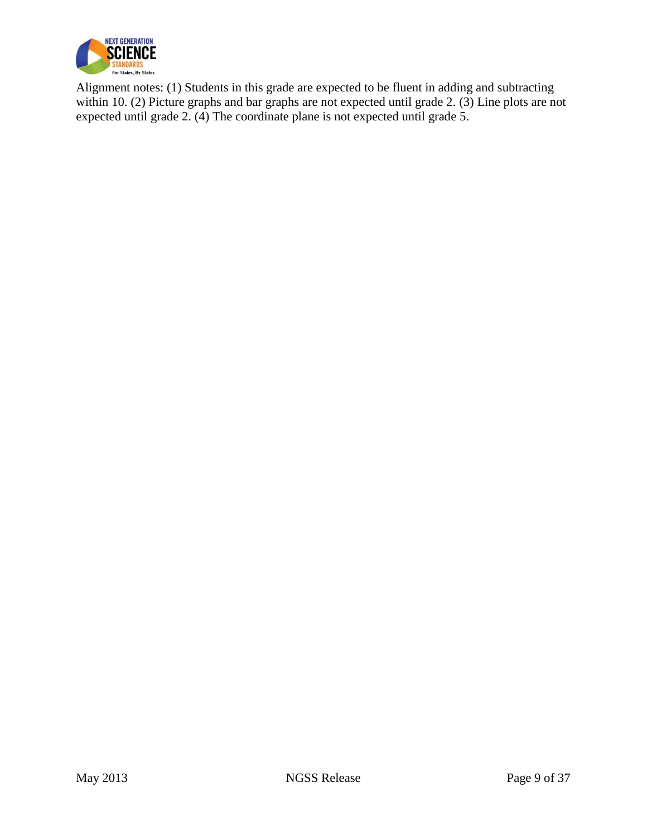

Alignment notes: (1) Students in this grade are expected to be fluent in adding and subtracting within 10. (2) Picture graphs and bar graphs are not expected until grade 2. (3) Line plots are not expected until grade 2. (4) The coordinate plane is not expected until grade 5.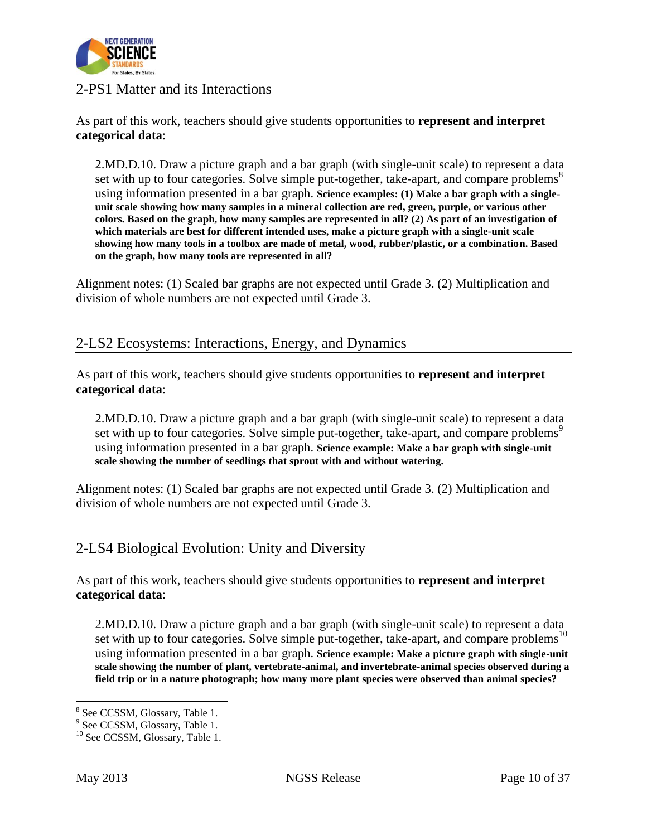

#### 2-PS1 Matter and its Interactions

As part of this work, teachers should give students opportunities to **represent and interpret categorical data**:

2.MD.D.10. Draw a picture graph and a bar graph (with single-unit scale) to represent a data set with up to four categories. Solve simple put-together, take-apart, and compare problems<sup>8</sup> using information presented in a bar graph. **Science examples: (1) Make a bar graph with a singleunit scale showing how many samples in a mineral collection are red, green, purple, or various other colors. Based on the graph, how many samples are represented in all? (2) As part of an investigation of which materials are best for different intended uses, make a picture graph with a single-unit scale showing how many tools in a toolbox are made of metal, wood, rubber/plastic, or a combination. Based on the graph, how many tools are represented in all?**

Alignment notes: (1) Scaled bar graphs are not expected until Grade 3. (2) Multiplication and division of whole numbers are not expected until Grade 3.

#### 2-LS2 Ecosystems: Interactions, Energy, and Dynamics

As part of this work, teachers should give students opportunities to **represent and interpret categorical data**:

2.MD.D.10. Draw a picture graph and a bar graph (with single-unit scale) to represent a data set with up to four categories. Solve simple put-together, take-apart, and compare problems<sup>9</sup> using information presented in a bar graph. **Science example: Make a bar graph with single-unit scale showing the number of seedlings that sprout with and without watering.** 

Alignment notes: (1) Scaled bar graphs are not expected until Grade 3. (2) Multiplication and division of whole numbers are not expected until Grade 3.

#### 2-LS4 Biological Evolution: Unity and Diversity

As part of this work, teachers should give students opportunities to **represent and interpret categorical data**:

2.MD.D.10. Draw a picture graph and a bar graph (with single-unit scale) to represent a data set with up to four categories. Solve simple put-together, take-apart, and compare problems<sup>10</sup> using information presented in a bar graph. **Science example: Make a picture graph with single-unit scale showing the number of plant, vertebrate-animal, and invertebrate-animal species observed during a field trip or in a nature photograph; how many more plant species were observed than animal species?** 

 $\overline{a}$ <sup>8</sup> See CCSSM, Glossary, Table 1.

<sup>&</sup>lt;sup>9</sup> See CCSSM, Glossary, Table 1.

<sup>&</sup>lt;sup>10</sup> See CCSSM, Glossary, Table 1.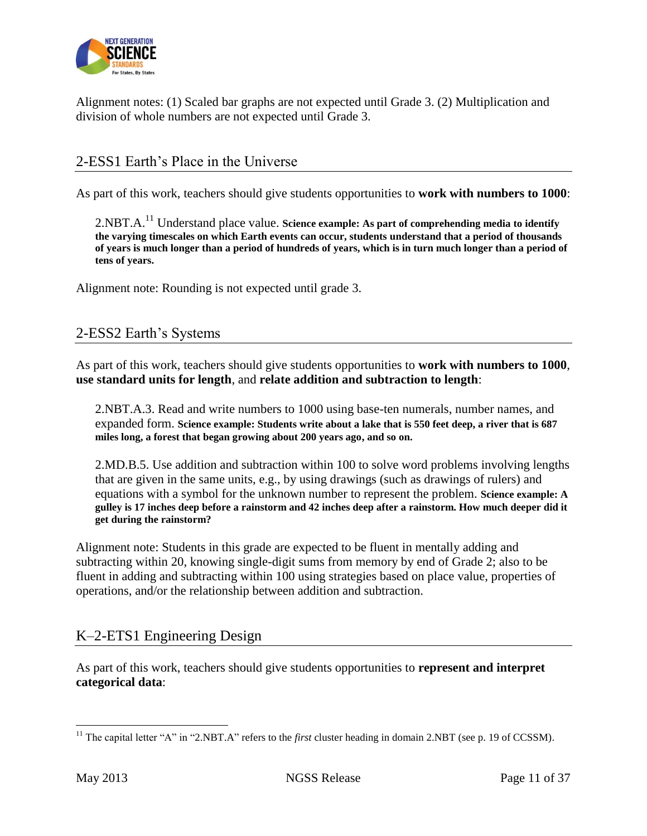

Alignment notes: (1) Scaled bar graphs are not expected until Grade 3. (2) Multiplication and division of whole numbers are not expected until Grade 3.

# 2-ESS1 Earth's Place in the Universe

As part of this work, teachers should give students opportunities to **work with numbers to 1000**:

2.NBT.A.<sup>11</sup> Understand place value. **Science example: As part of comprehending media to identify the varying timescales on which Earth events can occur, students understand that a period of thousands of years is much longer than a period of hundreds of years, which is in turn much longer than a period of tens of years.** 

Alignment note: Rounding is not expected until grade 3.

## 2-ESS2 Earth's Systems

As part of this work, teachers should give students opportunities to **work with numbers to 1000**, **use standard units for length**, and **relate addition and subtraction to length**:

2.NBT.A.3. Read and write numbers to 1000 using base-ten numerals, number names, and expanded form. **Science example: Students write about a lake that is 550 feet deep, a river that is 687 miles long, a forest that began growing about 200 years ago, and so on.**

2.MD.B.5. Use addition and subtraction within 100 to solve word problems involving lengths that are given in the same units, e.g., by using drawings (such as drawings of rulers) and equations with a symbol for the unknown number to represent the problem. **Science example: A gulley is 17 inches deep before a rainstorm and 42 inches deep after a rainstorm. How much deeper did it get during the rainstorm?**

Alignment note: Students in this grade are expected to be fluent in mentally adding and subtracting within 20, knowing single-digit sums from memory by end of Grade 2; also to be fluent in adding and subtracting within 100 using strategies based on place value, properties of operations, and/or the relationship between addition and subtraction.

## K–2-ETS1 Engineering Design

As part of this work, teachers should give students opportunities to **represent and interpret categorical data**:

 $\overline{\phantom{a}}$ 

<sup>&</sup>lt;sup>11</sup> The capital letter "A" in "2.NBT.A" refers to the *first* cluster heading in domain 2.NBT (see p. 19 of CCSSM).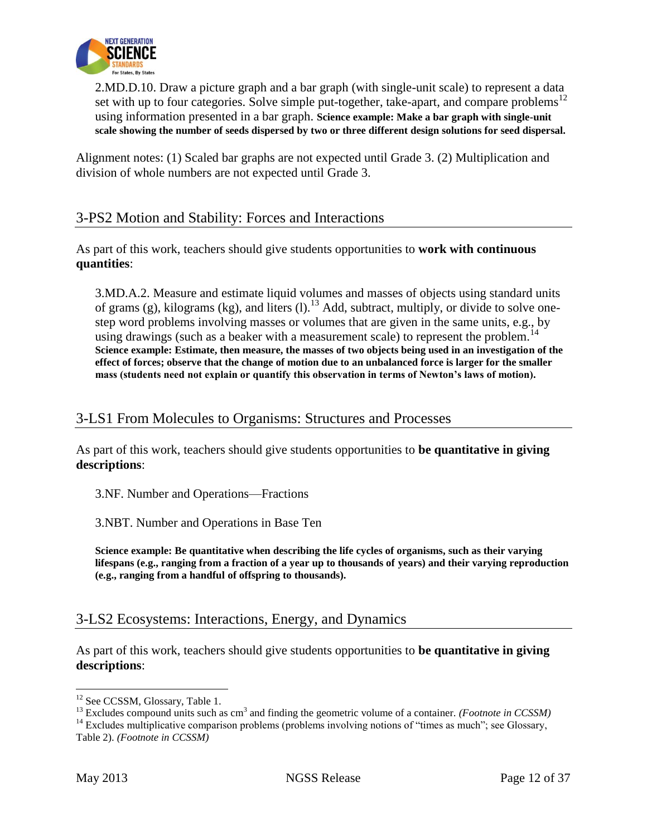

2.MD.D.10. Draw a picture graph and a bar graph (with single-unit scale) to represent a data set with up to four categories. Solve simple put-together, take-apart, and compare problems<sup>12</sup> using information presented in a bar graph. **Science example: Make a bar graph with single-unit scale showing the number of seeds dispersed by two or three different design solutions for seed dispersal.**

Alignment notes: (1) Scaled bar graphs are not expected until Grade 3. (2) Multiplication and division of whole numbers are not expected until Grade 3.

## 3-PS2 Motion and Stability: Forces and Interactions

As part of this work, teachers should give students opportunities to **work with continuous quantities**:

3.MD.A.2. Measure and estimate liquid volumes and masses of objects using standard units of grams (g), kilograms (kg), and liters (l).<sup>13</sup> Add, subtract, multiply, or divide to solve onestep word problems involving masses or volumes that are given in the same units, e.g., by using drawings (such as a beaker with a measurement scale) to represent the problem.<sup>14</sup> **Science example: Estimate, then measure, the masses of two objects being used in an investigation of the effect of forces; observe that the change of motion due to an unbalanced force is larger for the smaller mass (students need not explain or quantify this observation in terms of Newton's laws of motion).**

### 3-LS1 From Molecules to Organisms: Structures and Processes

As part of this work, teachers should give students opportunities to **be quantitative in giving descriptions**:

3.NF. Number and Operations—Fractions

3.NBT. Number and Operations in Base Ten

**Science example: Be quantitative when describing the life cycles of organisms, such as their varying lifespans (e.g., ranging from a fraction of a year up to thousands of years) and their varying reproduction (e.g., ranging from a handful of offspring to thousands).**

## 3-LS2 Ecosystems: Interactions, Energy, and Dynamics

As part of this work, teachers should give students opportunities to **be quantitative in giving descriptions**:

 $\overline{\phantom{a}}$ 

<sup>&</sup>lt;sup>12</sup> See CCSSM, Glossary, Table 1.

<sup>&</sup>lt;sup>13</sup> Excludes compound units such as cm<sup>3</sup> and finding the geometric volume of a container. *(Footnote in CCSSM)* 

<sup>&</sup>lt;sup>14</sup> Excludes multiplicative comparison problems (problems involving notions of "times as much"; see Glossary, Table 2). *(Footnote in CCSSM)*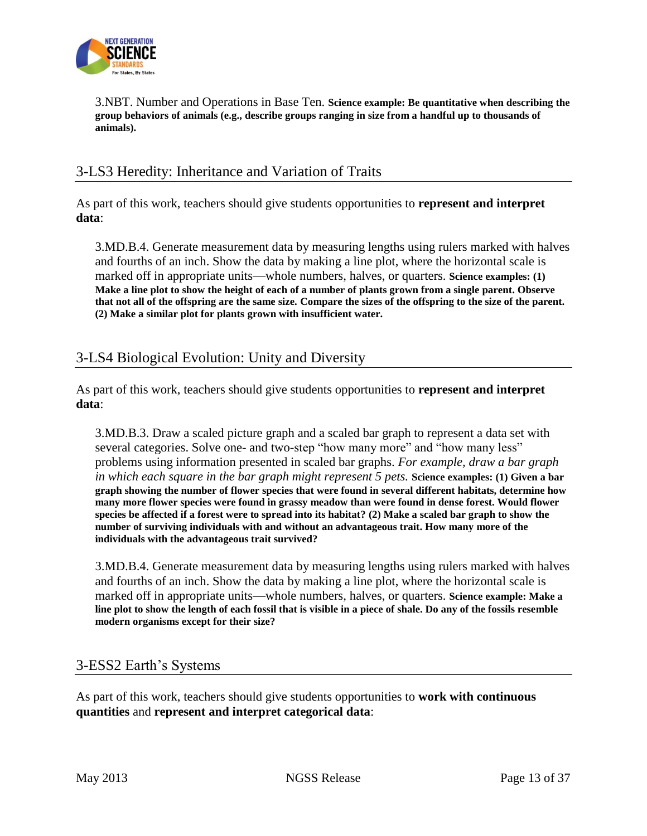

3.NBT. Number and Operations in Base Ten. **Science example: Be quantitative when describing the group behaviors of animals (e.g., describe groups ranging in size from a handful up to thousands of animals).**

### 3-LS3 Heredity: Inheritance and Variation of Traits

As part of this work, teachers should give students opportunities to **represent and interpret data**:

3.MD.B.4. Generate measurement data by measuring lengths using rulers marked with halves and fourths of an inch. Show the data by making a line plot, where the horizontal scale is marked off in appropriate units—whole numbers, halves, or quarters. **Science examples: (1) Make a line plot to show the height of each of a number of plants grown from a single parent. Observe that not all of the offspring are the same size. Compare the sizes of the offspring to the size of the parent. (2) Make a similar plot for plants grown with insufficient water.**

## 3-LS4 Biological Evolution: Unity and Diversity

As part of this work, teachers should give students opportunities to **represent and interpret data**:

3.MD.B.3. Draw a scaled picture graph and a scaled bar graph to represent a data set with several categories. Solve one- and two-step "how many more" and "how many less" problems using information presented in scaled bar graphs. *For example, draw a bar graph in which each square in the bar graph might represent 5 pets.* **Science examples: (1) Given a bar graph showing the number of flower species that were found in several different habitats, determine how many more flower species were found in grassy meadow than were found in dense forest. Would flower species be affected if a forest were to spread into its habitat? (2) Make a scaled bar graph to show the number of surviving individuals with and without an advantageous trait. How many more of the individuals with the advantageous trait survived?**

3.MD.B.4. Generate measurement data by measuring lengths using rulers marked with halves and fourths of an inch. Show the data by making a line plot, where the horizontal scale is marked off in appropriate units—whole numbers, halves, or quarters. **Science example: Make a line plot to show the length of each fossil that is visible in a piece of shale. Do any of the fossils resemble modern organisms except for their size?**

#### 3-ESS2 Earth's Systems

As part of this work, teachers should give students opportunities to **work with continuous quantities** and **represent and interpret categorical data**: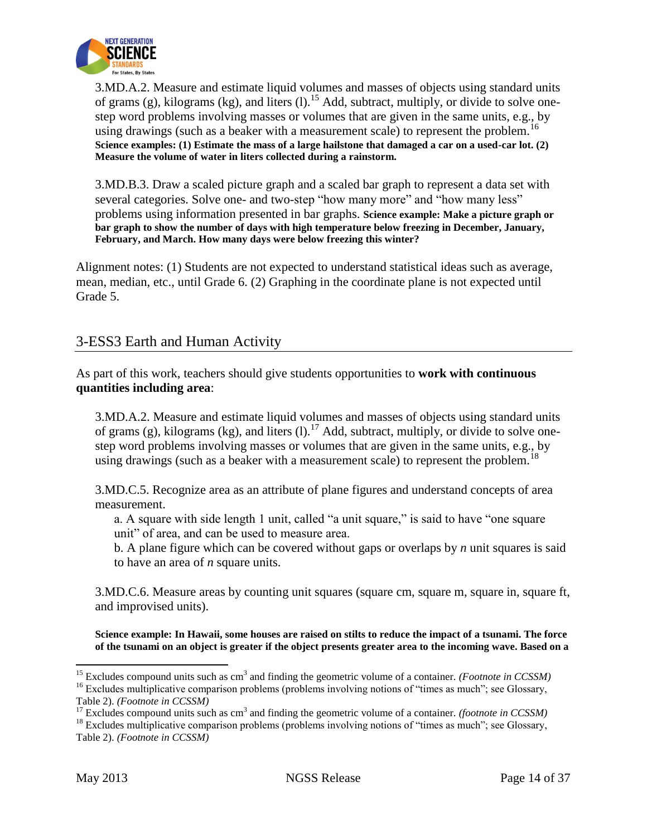

3.MD.A.2. Measure and estimate liquid volumes and masses of objects using standard units of grams (g), kilograms (kg), and liters (l).<sup>15</sup> Add, subtract, multiply, or divide to solve onestep word problems involving masses or volumes that are given in the same units, e.g., by using drawings (such as a beaker with a measurement scale) to represent the problem.<sup>16</sup> **Science examples: (1) Estimate the mass of a large hailstone that damaged a car on a used-car lot. (2) Measure the volume of water in liters collected during a rainstorm.**

3.MD.B.3. Draw a scaled picture graph and a scaled bar graph to represent a data set with several categories. Solve one- and two-step "how many more" and "how many less" problems using information presented in bar graphs. **Science example: Make a picture graph or bar graph to show the number of days with high temperature below freezing in December, January, February, and March. How many days were below freezing this winter?**

Alignment notes: (1) Students are not expected to understand statistical ideas such as average, mean, median, etc., until Grade 6. (2) Graphing in the coordinate plane is not expected until Grade 5.

## 3-ESS3 Earth and Human Activity

As part of this work, teachers should give students opportunities to **work with continuous quantities including area**:

3.MD.A.2. Measure and estimate liquid volumes and masses of objects using standard units of grams (g), kilograms (kg), and liters (l).<sup>17</sup> Add, subtract, multiply, or divide to solve onestep word problems involving masses or volumes that are given in the same units, e.g., by using drawings (such as a beaker with a measurement scale) to represent the problem.<sup>18</sup>

3.MD.C.5. Recognize area as an attribute of plane figures and understand concepts of area measurement.

a. A square with side length 1 unit, called "a unit square," is said to have "one square unit" of area, and can be used to measure area.

b. A plane figure which can be covered without gaps or overlaps by *n* unit squares is said to have an area of *n* square units.

3.MD.C.6. Measure areas by counting unit squares (square cm, square m, square in, square ft, and improvised units).

**Science example: In Hawaii, some houses are raised on stilts to reduce the impact of a tsunami. The force of the tsunami on an object is greater if the object presents greater area to the incoming wave. Based on a** 

l <sup>15</sup> Excludes compound units such as cm<sup>3</sup> and finding the geometric volume of a container. *(Footnote in CCSSM)* 

<sup>&</sup>lt;sup>16</sup> Excludes multiplicative comparison problems (problems involving notions of "times as much"; see Glossary, Table 2). *(Footnote in CCSSM)*

 $17$  Excludes compound units such as cm<sup>3</sup> and finding the geometric volume of a container. *(footnote in CCSSM)* 

<sup>&</sup>lt;sup>18</sup> Excludes multiplicative comparison problems (problems involving notions of "times as much"; see Glossary, Table 2). *(Footnote in CCSSM)*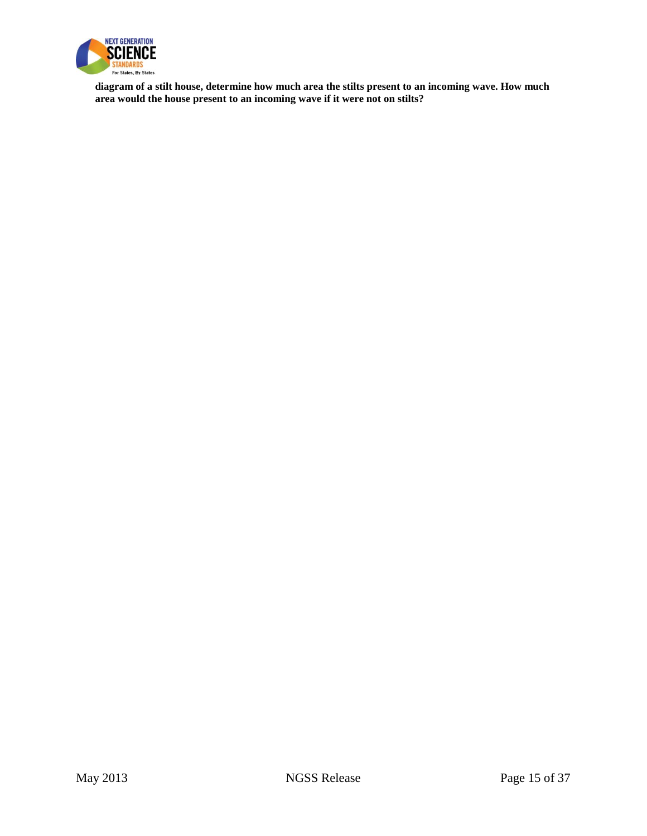

**diagram of a stilt house, determine how much area the stilts present to an incoming wave. How much area would the house present to an incoming wave if it were not on stilts?**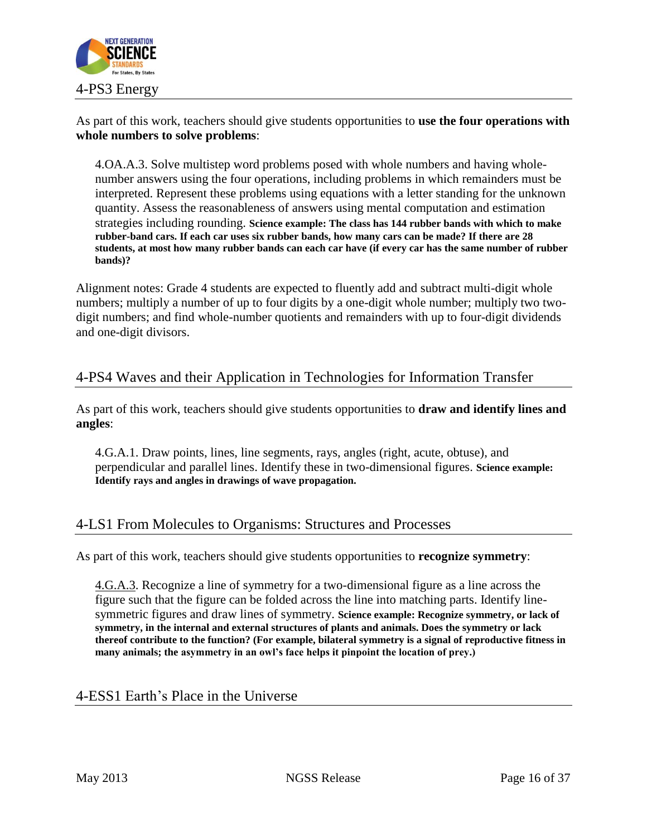

As part of this work, teachers should give students opportunities to **use the four operations with whole numbers to solve problems**:

4.OA.A.3. Solve multistep word problems posed with whole numbers and having wholenumber answers using the four operations, including problems in which remainders must be interpreted. Represent these problems using equations with a letter standing for the unknown quantity. Assess the reasonableness of answers using mental computation and estimation strategies including rounding. **Science example: The class has 144 rubber bands with which to make rubber-band cars. If each car uses six rubber bands, how many cars can be made? If there are 28 students, at most how many rubber bands can each car have (if every car has the same number of rubber bands)?**

Alignment notes: Grade 4 students are expected to fluently add and subtract multi-digit whole numbers; multiply a number of up to four digits by a one-digit whole number; multiply two twodigit numbers; and find whole-number quotients and remainders with up to four-digit dividends and one-digit divisors.

# 4-PS4 Waves and their Application in Technologies for Information Transfer

As part of this work, teachers should give students opportunities to **draw and identify lines and angles**:

4.G.A.1. Draw points, lines, line segments, rays, angles (right, acute, obtuse), and perpendicular and parallel lines. Identify these in two-dimensional figures. **Science example: Identify rays and angles in drawings of wave propagation.**

## 4-LS1 From Molecules to Organisms: Structures and Processes

As part of this work, teachers should give students opportunities to **recognize symmetry**:

4.G.A.3. Recognize a line of symmetry for a two-dimensional figure as a line across the figure such that the figure can be folded across the line into matching parts. Identify linesymmetric figures and draw lines of symmetry. **Science example: Recognize symmetry, or lack of symmetry, in the internal and external structures of plants and animals. Does the symmetry or lack thereof contribute to the function? (For example, bilateral symmetry is a signal of reproductive fitness in many animals; the asymmetry in an owl's face helps it pinpoint the location of prey.)**

## 4-ESS1 Earth's Place in the Universe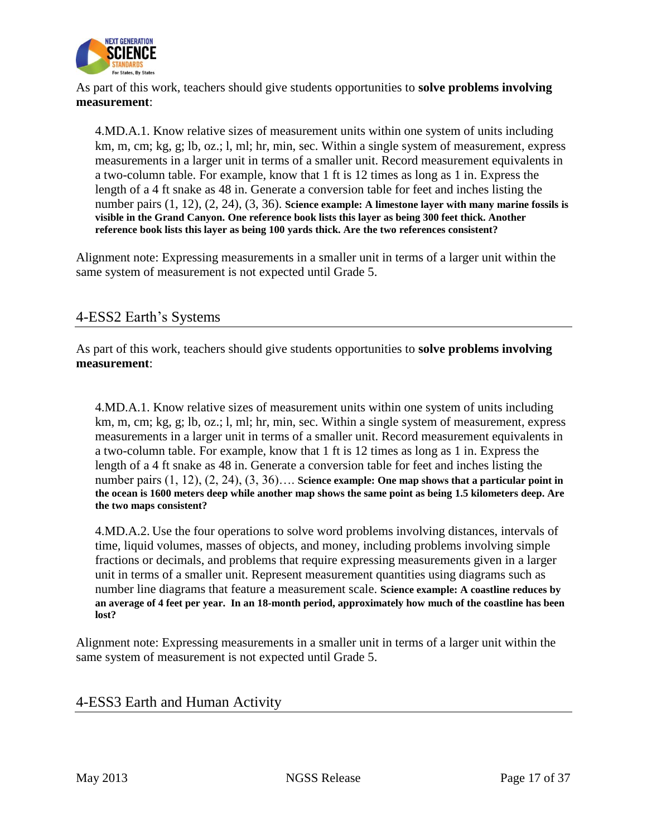

As part of this work, teachers should give students opportunities to **solve problems involving measurement**:

4.MD.A.1. Know relative sizes of measurement units within one system of units including km, m, cm; kg, g; lb, oz.; l, ml; hr, min, sec. Within a single system of measurement, express measurements in a larger unit in terms of a smaller unit. Record measurement equivalents in a two-column table. For example, know that 1 ft is 12 times as long as 1 in. Express the length of a 4 ft snake as 48 in. Generate a conversion table for feet and inches listing the number pairs (1, 12), (2, 24), (3, 36). **Science example: A limestone layer with many marine fossils is visible in the Grand Canyon. One reference book lists this layer as being 300 feet thick. Another reference book lists this layer as being 100 yards thick. Are the two references consistent?** 

Alignment note: Expressing measurements in a smaller unit in terms of a larger unit within the same system of measurement is not expected until Grade 5.

## 4-ESS2 Earth's Systems

As part of this work, teachers should give students opportunities to **solve problems involving measurement**:

4.MD.A.1. Know relative sizes of measurement units within one system of units including km, m, cm; kg, g; lb, oz.; l, ml; hr, min, sec. Within a single system of measurement, express measurements in a larger unit in terms of a smaller unit. Record measurement equivalents in a two-column table. For example, know that 1 ft is 12 times as long as 1 in. Express the length of a 4 ft snake as 48 in. Generate a conversion table for feet and inches listing the number pairs (1, 12), (2, 24), (3, 36)…. **Science example: One map shows that a particular point in the ocean is 1600 meters deep while another map shows the same point as being 1.5 kilometers deep. Are the two maps consistent?**

[4.MD.A.2.](http://www.corestandards.org/Math/Content/4/MD/A/2) Use the four operations to solve word problems involving distances, intervals of time, liquid volumes, masses of objects, and money, including problems involving simple fractions or decimals, and problems that require expressing measurements given in a larger unit in terms of a smaller unit. Represent measurement quantities using diagrams such as number line diagrams that feature a measurement scale. **Science example: A coastline reduces by an average of 4 feet per year. In an 18-month period, approximately how much of the coastline has been lost?** 

Alignment note: Expressing measurements in a smaller unit in terms of a larger unit within the same system of measurement is not expected until Grade 5.

4-ESS3 Earth and Human Activity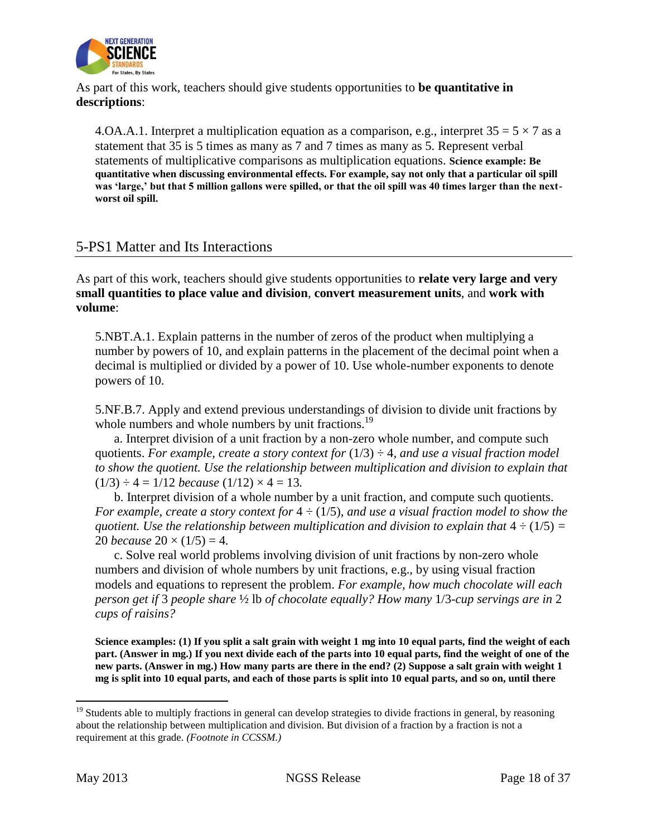

As part of this work, teachers should give students opportunities to **be quantitative in descriptions**:

4.OA.A.1. Interpret a multiplication equation as a comparison, e.g., interpret  $35 = 5 \times 7$  as a statement that 35 is 5 times as many as 7 and 7 times as many as 5. Represent verbal statements of multiplicative comparisons as multiplication equations. **Science example: Be quantitative when discussing environmental effects. For example, say not only that a particular oil spill was 'large,' but that 5 million gallons were spilled, or that the oil spill was 40 times larger than the nextworst oil spill.** 

#### 5-PS1 Matter and Its Interactions

As part of this work, teachers should give students opportunities to **relate very large and very small quantities to place value and division**, **convert measurement units**, and **work with volume**:

5.NBT.A.1. Explain patterns in the number of zeros of the product when multiplying a number by powers of 10, and explain patterns in the placement of the decimal point when a decimal is multiplied or divided by a power of 10. Use whole-number exponents to denote powers of 10.

5.NF.B.7. Apply and extend previous understandings of division to divide unit fractions by whole numbers and whole numbers by unit fractions.<sup>19</sup>

a. Interpret division of a unit fraction by a non-zero whole number, and compute such quotients. For example, create a story context for  $(1/3) \div 4$ , and use a visual fraction model *to show the quotient. Use the relationship between multiplication and division to explain that*   $(1/3) \div 4 = 1/12$  *because*  $(1/12) \times 4 = 13$ .

b. Interpret division of a whole number by a unit fraction, and compute such quotients. *For example, create a story context for* 4 ÷ (1/5)*, and use a visual fraction model to show the quotient. Use the relationship between multiplication and division to explain that*  $4 \div (1/5) =$ 20 *because*  $20 \times (1/5) = 4$ .

c. Solve real world problems involving division of unit fractions by non-zero whole numbers and division of whole numbers by unit fractions, e.g., by using visual fraction models and equations to represent the problem. *For example, how much chocolate will each person get if* 3 *people share* ½ lb *of chocolate equally? How many* 1/3*-cup servings are in* 2 *cups of raisins?*

**Science examples: (1) If you split a salt grain with weight 1 mg into 10 equal parts, find the weight of each part. (Answer in mg.) If you next divide each of the parts into 10 equal parts, find the weight of one of the new parts. (Answer in mg.) How many parts are there in the end? (2) Suppose a salt grain with weight 1 mg is split into 10 equal parts, and each of those parts is split into 10 equal parts, and so on, until there** 

 $\overline{a}$ 

<sup>&</sup>lt;sup>19</sup> Students able to multiply fractions in general can develop strategies to divide fractions in general, by reasoning about the relationship between multiplication and division. But division of a fraction by a fraction is not a requirement at this grade. *(Footnote in CCSSM.)*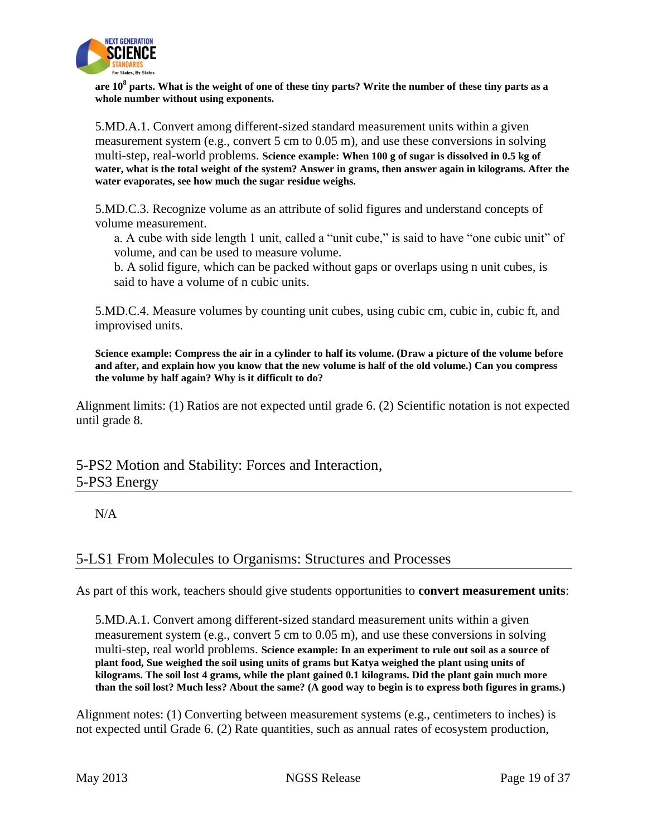

**are 10<sup>8</sup> parts. What is the weight of one of these tiny parts? Write the number of these tiny parts as a whole number without using exponents.**

5.MD.A.1. Convert among different-sized standard measurement units within a given measurement system (e.g., convert 5 cm to 0.05 m), and use these conversions in solving multi-step, real-world problems. **Science example: When 100 g of sugar is dissolved in 0.5 kg of water, what is the total weight of the system? Answer in grams, then answer again in kilograms. After the water evaporates, see how much the sugar residue weighs.**

5.MD.C.3. Recognize volume as an attribute of solid figures and understand concepts of volume measurement.

a. A cube with side length 1 unit, called a "unit cube," is said to have "one cubic unit" of volume, and can be used to measure volume.

b. A solid figure, which can be packed without gaps or overlaps using n unit cubes, is said to have a volume of n cubic units.

5.MD.C.4. Measure volumes by counting unit cubes, using cubic cm, cubic in, cubic ft, and improvised units.

**Science example: Compress the air in a cylinder to half its volume. (Draw a picture of the volume before and after, and explain how you know that the new volume is half of the old volume.) Can you compress the volume by half again? Why is it difficult to do?** 

Alignment limits: (1) Ratios are not expected until grade 6. (2) Scientific notation is not expected until grade 8.

5-PS2 Motion and Stability: Forces and Interaction, 5-PS3 Energy

N/A

## 5-LS1 From Molecules to Organisms: Structures and Processes

As part of this work, teachers should give students opportunities to **convert measurement units**:

5.MD.A.1. Convert among different-sized standard measurement units within a given measurement system (e.g., convert 5 cm to 0.05 m), and use these conversions in solving multi-step, real world problems. **Science example: In an experiment to rule out soil as a source of plant food, Sue weighed the soil using units of grams but Katya weighed the plant using units of kilograms. The soil lost 4 grams, while the plant gained 0.1 kilograms. Did the plant gain much more than the soil lost? Much less? About the same? (A good way to begin is to express both figures in grams.)** 

Alignment notes: (1) Converting between measurement systems (e.g., centimeters to inches) is not expected until Grade 6. (2) Rate quantities, such as annual rates of ecosystem production,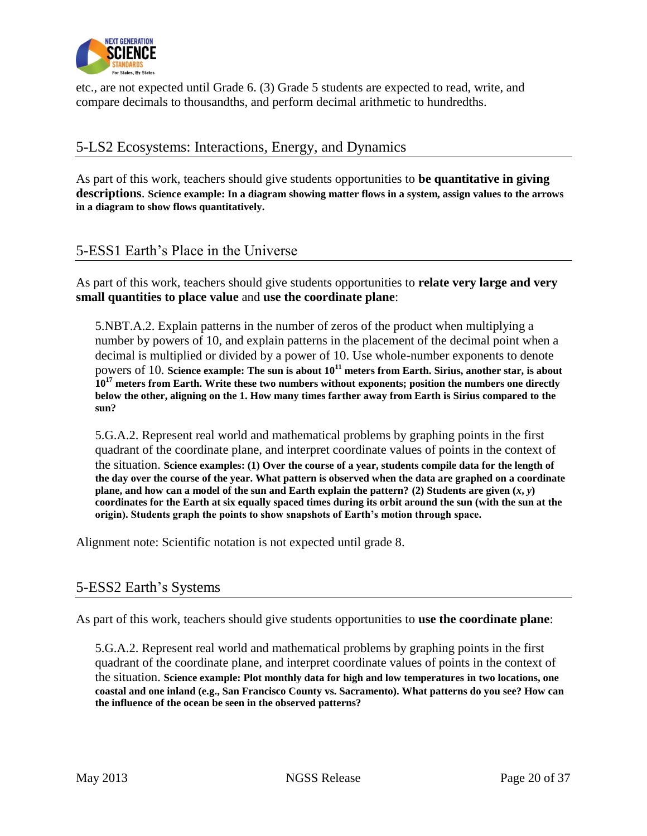

etc., are not expected until Grade 6. (3) Grade 5 students are expected to read, write, and compare decimals to thousandths, and perform decimal arithmetic to hundredths.

## 5-LS2 Ecosystems: Interactions, Energy, and Dynamics

As part of this work, teachers should give students opportunities to **be quantitative in giving descriptions**. **Science example: In a diagram showing matter flows in a system, assign values to the arrows in a diagram to show flows quantitatively.**

#### 5-ESS1 Earth's Place in the Universe

As part of this work, teachers should give students opportunities to **relate very large and very small quantities to place value** and **use the coordinate plane**:

5.NBT.A.2. Explain patterns in the number of zeros of the product when multiplying a number by powers of 10, and explain patterns in the placement of the decimal point when a decimal is multiplied or divided by a power of 10. Use whole-number exponents to denote powers of 10. **Science example: The sun is about 10<sup>11</sup> meters from Earth. Sirius, another star, is about 10<sup>17</sup> meters from Earth. Write these two numbers without exponents; position the numbers one directly below the other, aligning on the 1. How many times farther away from Earth is Sirius compared to the sun?**

5.G.A.2. Represent real world and mathematical problems by graphing points in the first quadrant of the coordinate plane, and interpret coordinate values of points in the context of the situation. **Science examples: (1) Over the course of a year, students compile data for the length of the day over the course of the year. What pattern is observed when the data are graphed on a coordinate plane, and how can a model of the sun and Earth explain the pattern? (2) Students are given**  $(x, y)$ **coordinates for the Earth at six equally spaced times during its orbit around the sun (with the sun at the origin). Students graph the points to show snapshots of Earth's motion through space.**

Alignment note: Scientific notation is not expected until grade 8.

#### 5-ESS2 Earth's Systems

As part of this work, teachers should give students opportunities to **use the coordinate plane**:

5.G.A.2. Represent real world and mathematical problems by graphing points in the first quadrant of the coordinate plane, and interpret coordinate values of points in the context of the situation. **Science example: Plot monthly data for high and low temperatures in two locations, one coastal and one inland (e.g., San Francisco County vs. Sacramento). What patterns do you see? How can the influence of the ocean be seen in the observed patterns?**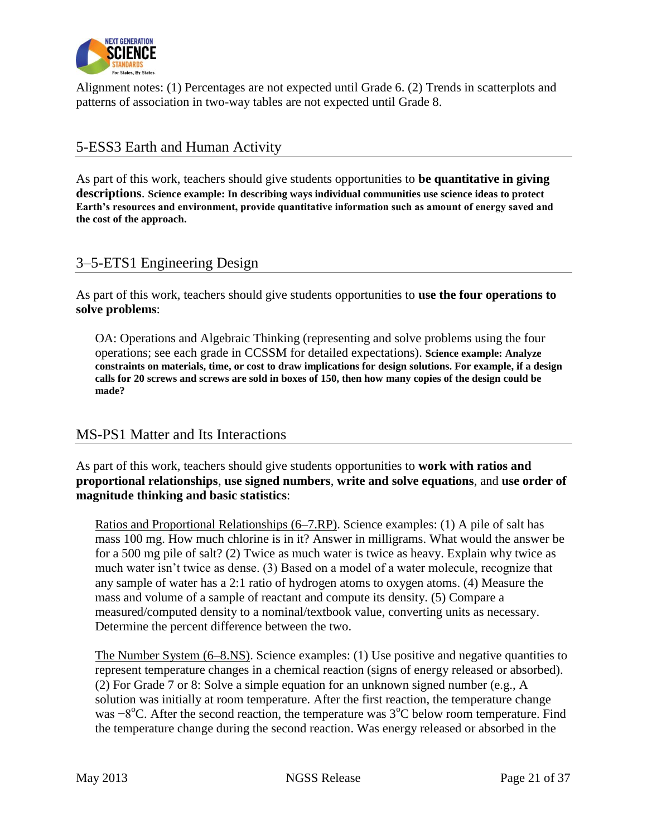

Alignment notes: (1) Percentages are not expected until Grade 6. (2) Trends in scatterplots and patterns of association in two-way tables are not expected until Grade 8.

## 5-ESS3 Earth and Human Activity

As part of this work, teachers should give students opportunities to **be quantitative in giving descriptions**. **Science example: In describing ways individual communities use science ideas to protect Earth's resources and environment, provide quantitative information such as amount of energy saved and the cost of the approach.**

## 3–5-ETS1 Engineering Design

As part of this work, teachers should give students opportunities to **use the four operations to solve problems**:

OA: Operations and Algebraic Thinking (representing and solve problems using the four operations; see each grade in CCSSM for detailed expectations). **Science example: Analyze constraints on materials, time, or cost to draw implications for design solutions. For example, if a design calls for 20 screws and screws are sold in boxes of 150, then how many copies of the design could be made?** 

## MS-PS1 Matter and Its Interactions

As part of this work, teachers should give students opportunities to **work with ratios and proportional relationships**, **use signed numbers**, **write and solve equations**, and **use order of magnitude thinking and basic statistics**:

Ratios and Proportional Relationships (6–7.RP). Science examples: (1) A pile of salt has mass 100 mg. How much chlorine is in it? Answer in milligrams. What would the answer be for a 500 mg pile of salt? (2) Twice as much water is twice as heavy. Explain why twice as much water isn't twice as dense. (3) Based on a model of a water molecule, recognize that any sample of water has a 2:1 ratio of hydrogen atoms to oxygen atoms. (4) Measure the mass and volume of a sample of reactant and compute its density. (5) Compare a measured/computed density to a nominal/textbook value, converting units as necessary. Determine the percent difference between the two.

The Number System (6–8.NS). Science examples: (1) Use positive and negative quantities to represent temperature changes in a chemical reaction (signs of energy released or absorbed). (2) For Grade 7 or 8: Solve a simple equation for an unknown signed number (e.g., A solution was initially at room temperature. After the first reaction, the temperature change was  $-8^{\circ}$ C. After the second reaction, the temperature was 3<sup>o</sup>C below room temperature. Find the temperature change during the second reaction. Was energy released or absorbed in the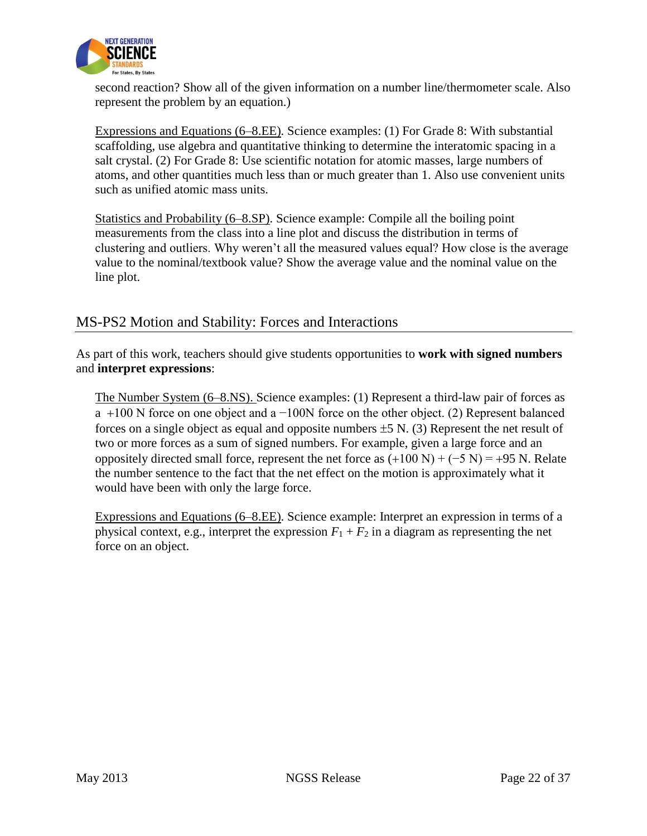

second reaction? Show all of the given information on a number line/thermometer scale. Also represent the problem by an equation.)

Expressions and Equations (6–8.EE). Science examples: (1) For Grade 8: With substantial scaffolding, use algebra and quantitative thinking to determine the interatomic spacing in a salt crystal. (2) For Grade 8: Use scientific notation for atomic masses, large numbers of atoms, and other quantities much less than or much greater than 1. Also use convenient units such as unified atomic mass units.

Statistics and Probability (6–8.SP). Science example: Compile all the boiling point measurements from the class into a line plot and discuss the distribution in terms of clustering and outliers. Why weren't all the measured values equal? How close is the average value to the nominal/textbook value? Show the average value and the nominal value on the line plot.

## MS-PS2 Motion and Stability: Forces and Interactions

As part of this work, teachers should give students opportunities to **work with signed numbers** and **interpret expressions**:

The Number System (6–8.NS). Science examples: (1) Represent a third-law pair of forces as a 100 N force on one object and a −100N force on the other object. (2) Represent balanced forces on a single object as equal and opposite numbers  $\pm 5$  N. (3) Represent the net result of two or more forces as a sum of signed numbers. For example, given a large force and an oppositely directed small force, represent the net force as  $(+100 N) + (-5 N) = +95 N$ . Relate the number sentence to the fact that the net effect on the motion is approximately what it would have been with only the large force.

Expressions and Equations (6–8.EE). Science example: Interpret an expression in terms of a physical context, e.g., interpret the expression  $F_1 + F_2$  in a diagram as representing the net force on an object.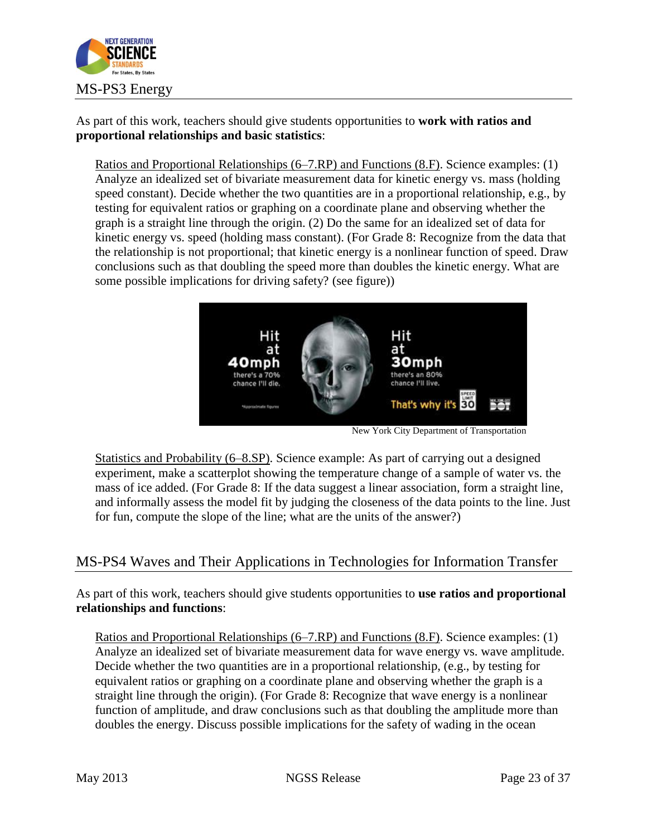

As part of this work, teachers should give students opportunities to **work with ratios and proportional relationships and basic statistics**:

Ratios and Proportional Relationships (6–7.RP) and Functions (8.F). Science examples: (1) Analyze an idealized set of bivariate measurement data for kinetic energy vs. mass (holding speed constant). Decide whether the two quantities are in a proportional relationship, e.g., by testing for equivalent ratios or graphing on a coordinate plane and observing whether the graph is a straight line through the origin. (2) Do the same for an idealized set of data for kinetic energy vs. speed (holding mass constant). (For Grade 8: Recognize from the data that the relationship is not proportional; that kinetic energy is a nonlinear function of speed. Draw conclusions such as that doubling the speed more than doubles the kinetic energy. What are some possible implications for driving safety? (see figure))



New York City Department of Transportation

Statistics and Probability (6–8.SP). Science example: As part of carrying out a designed experiment, make a scatterplot showing the temperature change of a sample of water vs. the mass of ice added. (For Grade 8: If the data suggest a linear association, form a straight line, and informally assess the model fit by judging the closeness of the data points to the line. Just for fun, compute the slope of the line; what are the units of the answer?)

## MS-PS4 Waves and Their Applications in Technologies for Information Transfer

As part of this work, teachers should give students opportunities to **use ratios and proportional relationships and functions**:

Ratios and Proportional Relationships (6–7.RP) and Functions (8.F). Science examples: (1) Analyze an idealized set of bivariate measurement data for wave energy vs. wave amplitude. Decide whether the two quantities are in a proportional relationship, (e.g., by testing for equivalent ratios or graphing on a coordinate plane and observing whether the graph is a straight line through the origin). (For Grade 8: Recognize that wave energy is a nonlinear function of amplitude, and draw conclusions such as that doubling the amplitude more than doubles the energy. Discuss possible implications for the safety of wading in the ocean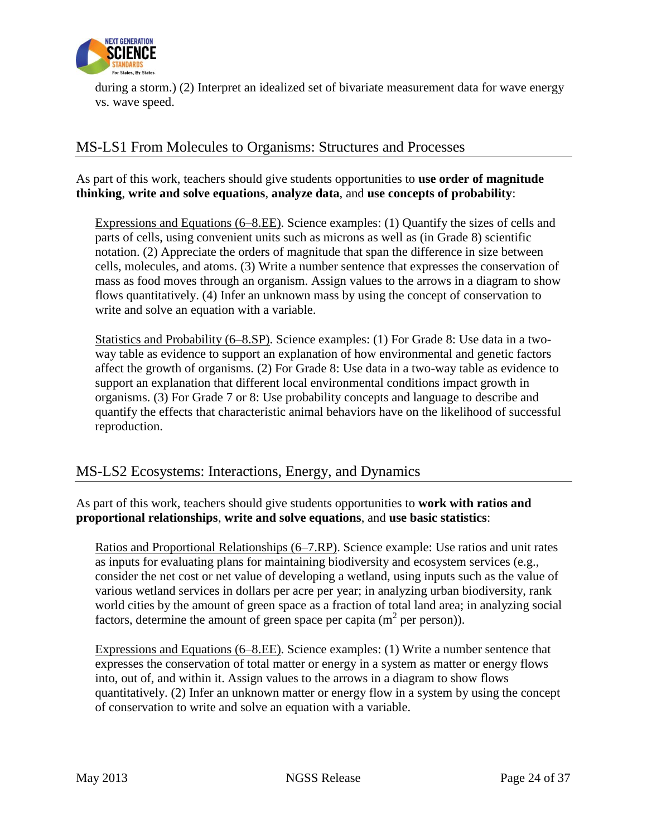

during a storm.) (2) Interpret an idealized set of bivariate measurement data for wave energy vs. wave speed.

# MS-LS1 From Molecules to Organisms: Structures and Processes

As part of this work, teachers should give students opportunities to **use order of magnitude thinking**, **write and solve equations**, **analyze data**, and **use concepts of probability**:

Expressions and Equations (6–8.EE). Science examples: (1) Quantify the sizes of cells and parts of cells, using convenient units such as microns as well as (in Grade 8) scientific notation. (2) Appreciate the orders of magnitude that span the difference in size between cells, molecules, and atoms. (3) Write a number sentence that expresses the conservation of mass as food moves through an organism. Assign values to the arrows in a diagram to show flows quantitatively. (4) Infer an unknown mass by using the concept of conservation to write and solve an equation with a variable.

Statistics and Probability (6–8.SP). Science examples: (1) For Grade 8: Use data in a twoway table as evidence to support an explanation of how environmental and genetic factors affect the growth of organisms. (2) For Grade 8: Use data in a two-way table as evidence to support an explanation that different local environmental conditions impact growth in organisms. (3) For Grade 7 or 8: Use probability concepts and language to describe and quantify the effects that characteristic animal behaviors have on the likelihood of successful reproduction.

## MS-LS2 Ecosystems: Interactions, Energy, and Dynamics

As part of this work, teachers should give students opportunities to **work with ratios and proportional relationships**, **write and solve equations**, and **use basic statistics**:

Ratios and Proportional Relationships (6–7.RP). Science example: Use ratios and unit rates as inputs for evaluating plans for maintaining biodiversity and ecosystem services (e.g., consider the net cost or net value of developing a wetland, using inputs such as the value of various wetland services in dollars per acre per year; in analyzing urban biodiversity, rank world cities by the amount of green space as a fraction of total land area; in analyzing social factors, determine the amount of green space per capita  $(m^2$  per person)).

Expressions and Equations (6–8.EE). Science examples: (1) Write a number sentence that expresses the conservation of total matter or energy in a system as matter or energy flows into, out of, and within it. Assign values to the arrows in a diagram to show flows quantitatively. (2) Infer an unknown matter or energy flow in a system by using the concept of conservation to write and solve an equation with a variable.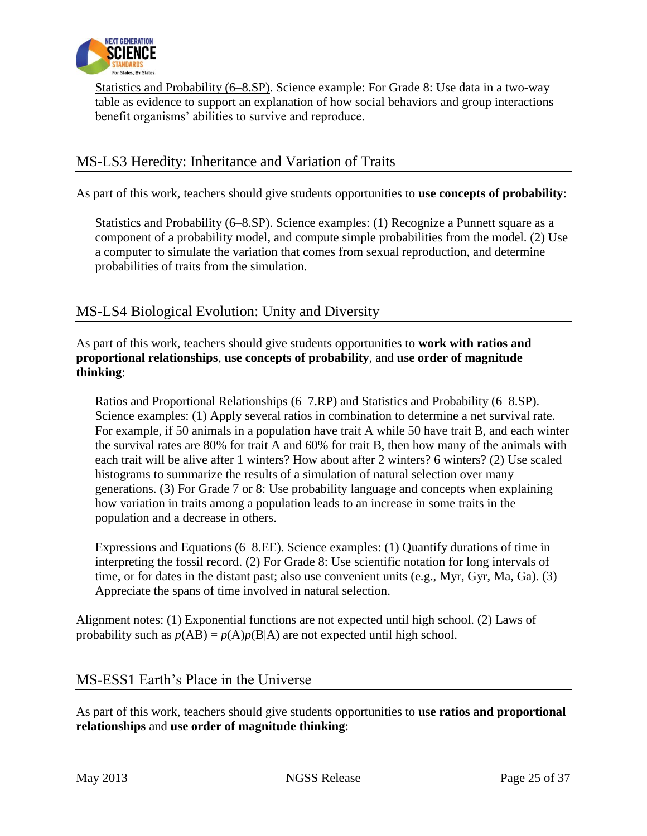

Statistics and Probability (6–8.SP). Science example: For Grade 8: Use data in a two-way table as evidence to support an explanation of how social behaviors and group interactions benefit organisms' abilities to survive and reproduce.

## MS-LS3 Heredity: Inheritance and Variation of Traits

As part of this work, teachers should give students opportunities to **use concepts of probability**:

Statistics and Probability (6–8.SP). Science examples: (1) Recognize a Punnett square as a component of a probability model, and compute simple probabilities from the model. (2) Use a computer to simulate the variation that comes from sexual reproduction, and determine probabilities of traits from the simulation.

## MS-LS4 Biological Evolution: Unity and Diversity

As part of this work, teachers should give students opportunities to **work with ratios and proportional relationships**, **use concepts of probability**, and **use order of magnitude thinking**:

Ratios and Proportional Relationships (6–7.RP) and Statistics and Probability (6–8.SP). Science examples: (1) Apply several ratios in combination to determine a net survival rate. For example, if 50 animals in a population have trait A while 50 have trait B, and each winter the survival rates are 80% for trait A and 60% for trait B, then how many of the animals with each trait will be alive after 1 winters? How about after 2 winters? 6 winters? (2) Use scaled histograms to summarize the results of a simulation of natural selection over many generations. (3) For Grade 7 or 8: Use probability language and concepts when explaining how variation in traits among a population leads to an increase in some traits in the population and a decrease in others.

Expressions and Equations (6–8.EE). Science examples: (1) Quantify durations of time in interpreting the fossil record. (2) For Grade 8: Use scientific notation for long intervals of time, or for dates in the distant past; also use convenient units (e.g., Myr, Gyr, Ma, Ga). (3) Appreciate the spans of time involved in natural selection.

Alignment notes: (1) Exponential functions are not expected until high school. (2) Laws of probability such as  $p(AB) = p(A)p(B|A)$  are not expected until high school.

#### MS-ESS1 Earth's Place in the Universe

As part of this work, teachers should give students opportunities to **use ratios and proportional relationships** and **use order of magnitude thinking**: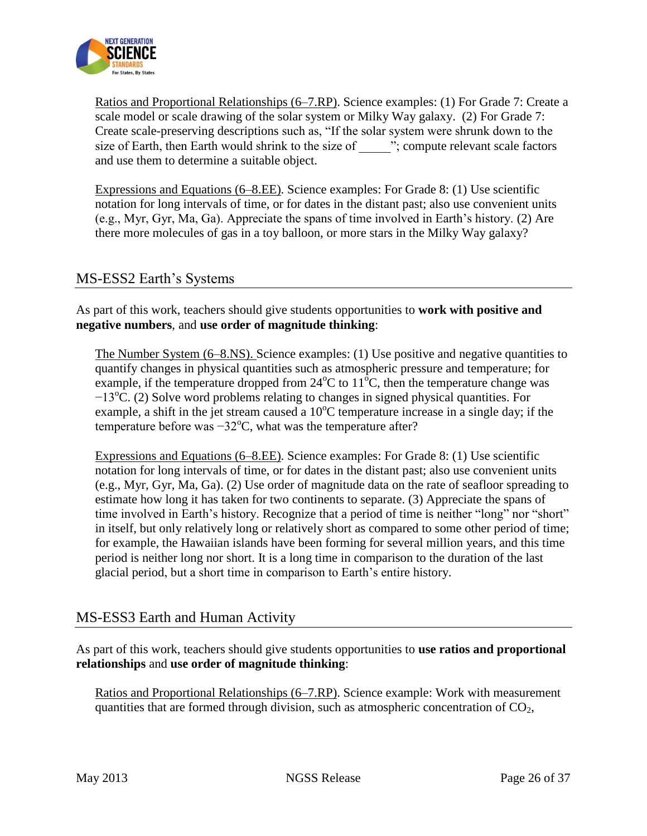

Ratios and Proportional Relationships (6–7.RP). Science examples: (1) For Grade 7: Create a scale model or scale drawing of the solar system or Milky Way galaxy. (2) For Grade 7: Create scale-preserving descriptions such as, "If the solar system were shrunk down to the size of Earth, then Earth would shrink to the size of  $\ddot{ }$ ; compute relevant scale factors and use them to determine a suitable object.

Expressions and Equations (6–8.EE). Science examples: For Grade 8: (1) Use scientific notation for long intervals of time, or for dates in the distant past; also use convenient units (e.g., Myr, Gyr, Ma, Ga). Appreciate the spans of time involved in Earth's history. (2) Are there more molecules of gas in a toy balloon, or more stars in the Milky Way galaxy?

## MS-ESS2 Earth's Systems

As part of this work, teachers should give students opportunities to **work with positive and negative numbers**, and **use order of magnitude thinking**:

The Number System (6–8.NS). Science examples: (1) Use positive and negative quantities to quantify changes in physical quantities such as atmospheric pressure and temperature; for example, if the temperature dropped from  $24^{\circ}C$  to  $11^{\circ}C$ , then the temperature change was  $-13^{\circ}$ C. (2) Solve word problems relating to changes in signed physical quantities. For example, a shift in the jet stream caused a  $10^{\circ}$ C temperature increase in a single day; if the temperature before was  $-32^{\circ}$ C, what was the temperature after?

Expressions and Equations (6–8.EE). Science examples: For Grade 8: (1) Use scientific notation for long intervals of time, or for dates in the distant past; also use convenient units (e.g., Myr, Gyr, Ma, Ga). (2) Use order of magnitude data on the rate of seafloor spreading to estimate how long it has taken for two continents to separate. (3) Appreciate the spans of time involved in Earth's history. Recognize that a period of time is neither "long" nor "short" in itself, but only relatively long or relatively short as compared to some other period of time; for example, the Hawaiian islands have been forming for several million years, and this time period is neither long nor short. It is a long time in comparison to the duration of the last glacial period, but a short time in comparison to Earth's entire history.

## MS-ESS3 Earth and Human Activity

As part of this work, teachers should give students opportunities to **use ratios and proportional relationships** and **use order of magnitude thinking**:

Ratios and Proportional Relationships (6–7.RP). Science example: Work with measurement quantities that are formed through division, such as atmospheric concentration of  $CO<sub>2</sub>$ ,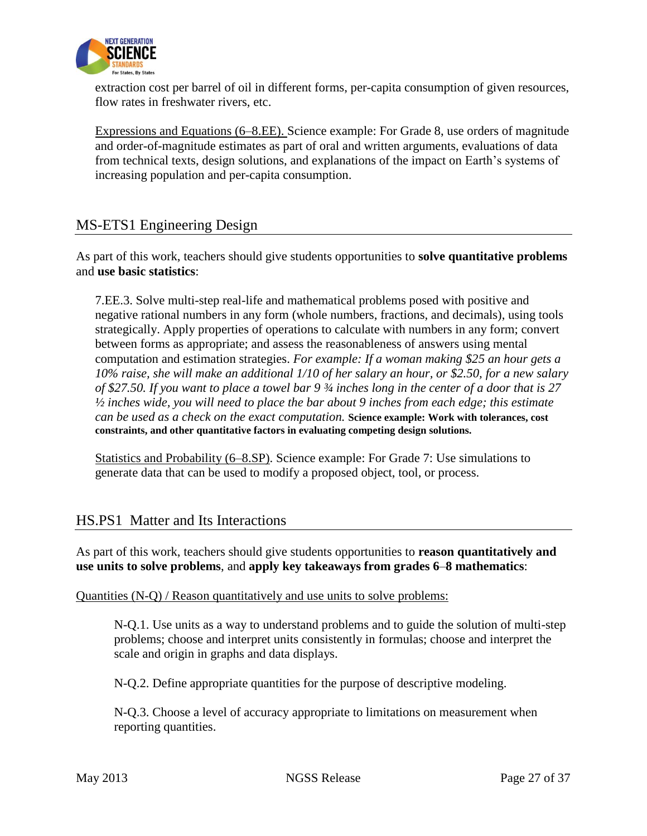

extraction cost per barrel of oil in different forms, per-capita consumption of given resources, flow rates in freshwater rivers, etc.

Expressions and Equations (6–8.EE). Science example: For Grade 8, use orders of magnitude and order-of-magnitude estimates as part of oral and written arguments, evaluations of data from technical texts, design solutions, and explanations of the impact on Earth's systems of increasing population and per-capita consumption.

## MS-ETS1 Engineering Design

As part of this work, teachers should give students opportunities to **solve quantitative problems** and **use basic statistics**:

7.EE.3. Solve multi-step real-life and mathematical problems posed with positive and negative rational numbers in any form (whole numbers, fractions, and decimals), using tools strategically. Apply properties of operations to calculate with numbers in any form; convert between forms as appropriate; and assess the reasonableness of answers using mental computation and estimation strategies. *For example: If a woman making \$25 an hour gets a 10% raise, she will make an additional 1/10 of her salary an hour, or \$2.50, for a new salary of \$27.50. If you want to place a towel bar 9 ¾ inches long in the center of a door that is 27 ½ inches wide, you will need to place the bar about 9 inches from each edge; this estimate can be used as a check on the exact computation.* **Science example: Work with tolerances, cost constraints, and other quantitative factors in evaluating competing design solutions.**

Statistics and Probability (6–8.SP). Science example: For Grade 7: Use simulations to generate data that can be used to modify a proposed object, tool, or process.

#### HS.PS1 Matter and Its Interactions

As part of this work, teachers should give students opportunities to **reason quantitatively and use units to solve problems**, and **apply key takeaways from grades 6**–**8 mathematics**:

#### Quantities (N-Q) / Reason quantitatively and use units to solve problems:

N-Q.1. Use units as a way to understand problems and to guide the solution of multi-step problems; choose and interpret units consistently in formulas; choose and interpret the scale and origin in graphs and data displays.

N-Q.2. Define appropriate quantities for the purpose of descriptive modeling.

N-Q.3. Choose a level of accuracy appropriate to limitations on measurement when reporting quantities.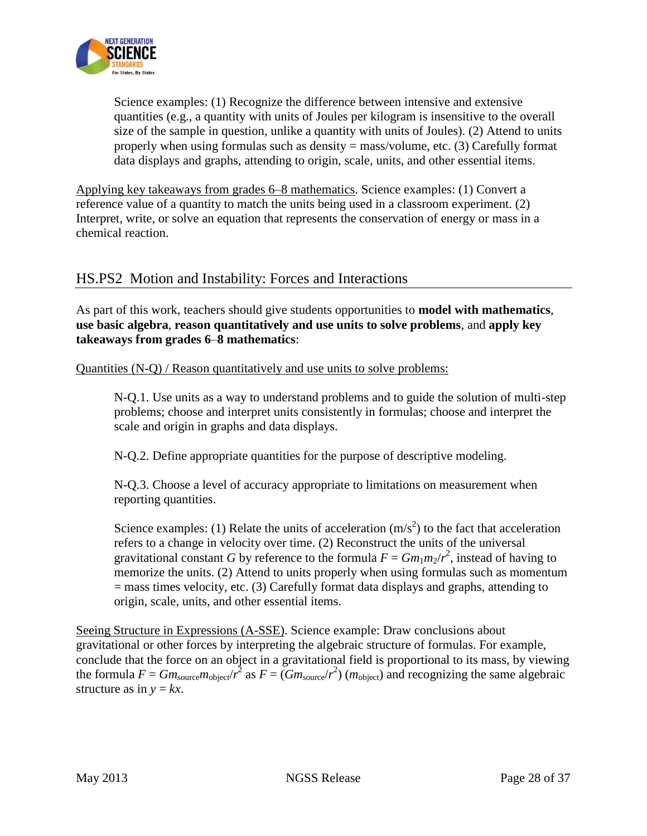

Science examples: (1) Recognize the difference between intensive and extensive quantities (e.g., a quantity with units of Joules per kilogram is insensitive to the overall size of the sample in question, unlike a quantity with units of Joules). (2) Attend to units properly when using formulas such as density = mass/volume, etc. (3) Carefully format data displays and graphs, attending to origin, scale, units, and other essential items.

Applying key takeaways from grades 6–8 mathematics. Science examples: (1) Convert a reference value of a quantity to match the units being used in a classroom experiment. (2) Interpret, write, or solve an equation that represents the conservation of energy or mass in a chemical reaction.

## HS.PS2 Motion and Instability: Forces and Interactions

As part of this work, teachers should give students opportunities to **model with mathematics**, **use basic algebra**, **reason quantitatively and use units to solve problems**, and **apply key takeaways from grades 6**–**8 mathematics**:

Quantities (N-Q) / Reason quantitatively and use units to solve problems:

N-Q.1. Use units as a way to understand problems and to guide the solution of multi-step problems; choose and interpret units consistently in formulas; choose and interpret the scale and origin in graphs and data displays.

N-Q.2. Define appropriate quantities for the purpose of descriptive modeling.

N-Q.3. Choose a level of accuracy appropriate to limitations on measurement when reporting quantities.

Science examples: (1) Relate the units of acceleration  $(m/s^2)$  to the fact that acceleration refers to a change in velocity over time. (2) Reconstruct the units of the universal gravitational constant *G* by reference to the formula  $F = Gm_1m_2/r^2$ , instead of having to memorize the units. (2) Attend to units properly when using formulas such as momentum = mass times velocity, etc. (3) Carefully format data displays and graphs, attending to origin, scale, units, and other essential items.

Seeing Structure in Expressions (A-SSE). Science example: Draw conclusions about gravitational or other forces by interpreting the algebraic structure of formulas. For example, conclude that the force on an object in a gravitational field is proportional to its mass, by viewing the formula  $F = Gm_{\text{source}}/r^2$  as  $F = (Gm_{\text{source}}/r^2)$  ( $m_{\text{object}}$ ) and recognizing the same algebraic structure as in  $y = kx$ .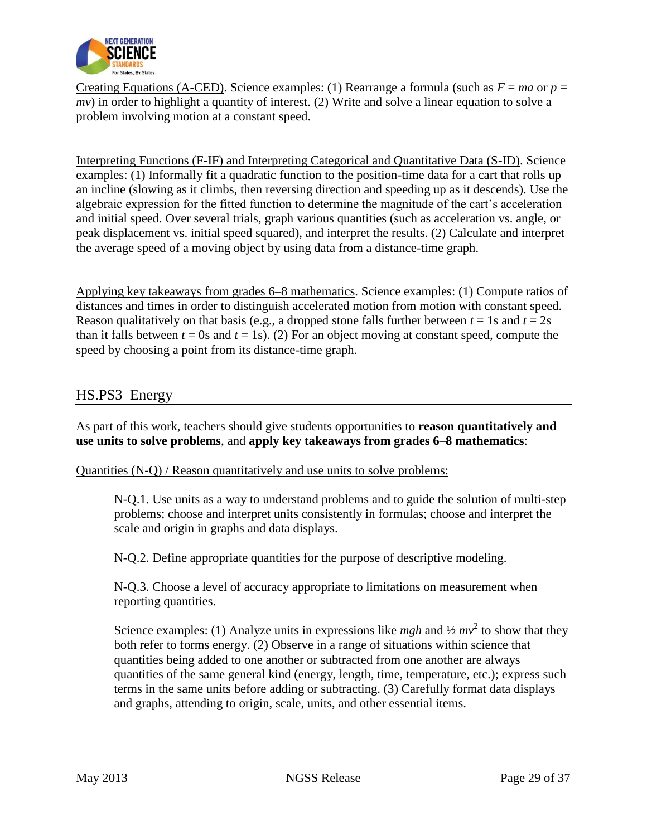

Creating Equations (A-CED). Science examples: (1) Rearrange a formula (such as  $F = ma$  or  $p =$ *mv*) in order to highlight a quantity of interest. (2) Write and solve a linear equation to solve a problem involving motion at a constant speed.

Interpreting Functions (F-IF) and Interpreting Categorical and Quantitative Data (S-ID). Science examples: (1) Informally fit a quadratic function to the position-time data for a cart that rolls up an incline (slowing as it climbs, then reversing direction and speeding up as it descends). Use the algebraic expression for the fitted function to determine the magnitude of the cart's acceleration and initial speed. Over several trials, graph various quantities (such as acceleration vs. angle, or peak displacement vs. initial speed squared), and interpret the results. (2) Calculate and interpret the average speed of a moving object by using data from a distance-time graph.

Applying key takeaways from grades 6–8 mathematics. Science examples: (1) Compute ratios of distances and times in order to distinguish accelerated motion from motion with constant speed. Reason qualitatively on that basis (e.g., a dropped stone falls further between  $t = 1$ s and  $t = 2s$ than it falls between  $t = 0$ s and  $t = 1$ s). (2) For an object moving at constant speed, compute the speed by choosing a point from its distance-time graph.

## HS.PS3 Energy

As part of this work, teachers should give students opportunities to **reason quantitatively and use units to solve problems**, and **apply key takeaways from grades 6**–**8 mathematics**:

#### Quantities (N-Q) / Reason quantitatively and use units to solve problems:

N-Q.1. Use units as a way to understand problems and to guide the solution of multi-step problems; choose and interpret units consistently in formulas; choose and interpret the scale and origin in graphs and data displays.

N-Q.2. Define appropriate quantities for the purpose of descriptive modeling.

N-Q.3. Choose a level of accuracy appropriate to limitations on measurement when reporting quantities.

Science examples: (1) Analyze units in expressions like *mgh* and  $\frac{1}{2}mv^2$  to show that they both refer to forms energy. (2) Observe in a range of situations within science that quantities being added to one another or subtracted from one another are always quantities of the same general kind (energy, length, time, temperature, etc.); express such terms in the same units before adding or subtracting. (3) Carefully format data displays and graphs, attending to origin, scale, units, and other essential items.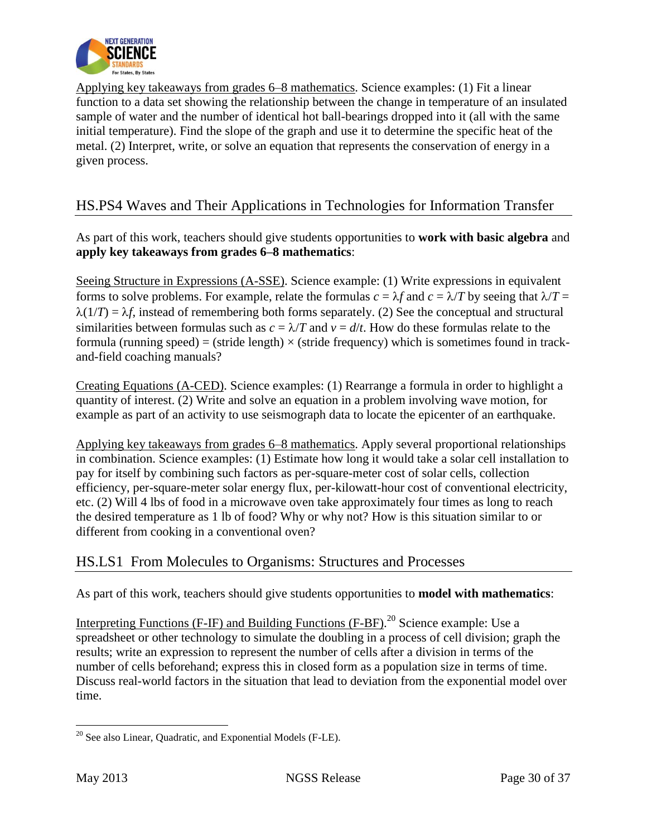

Applying key takeaways from grades 6–8 mathematics. Science examples: (1) Fit a linear function to a data set showing the relationship between the change in temperature of an insulated sample of water and the number of identical hot ball-bearings dropped into it (all with the same initial temperature). Find the slope of the graph and use it to determine the specific heat of the metal. (2) Interpret, write, or solve an equation that represents the conservation of energy in a given process.

## HS.PS4 Waves and Their Applications in Technologies for Information Transfer

As part of this work, teachers should give students opportunities to **work with basic algebra** and **apply key takeaways from grades 6–8 mathematics**:

Seeing Structure in Expressions (A-SSE). Science example: (1) Write expressions in equivalent forms to solve problems. For example, relate the formulas  $c = \lambda f$  and  $c = \lambda/T$  by seeing that  $\lambda/T =$  $\lambda(1/T) = \lambda f$ , instead of remembering both forms separately. (2) See the conceptual and structural similarities between formulas such as  $c = \lambda/T$  and  $v = d/t$ . How do these formulas relate to the formula (running speed) = (stride length)  $\times$  (stride frequency) which is sometimes found in trackand-field coaching manuals?

Creating Equations (A-CED). Science examples: (1) Rearrange a formula in order to highlight a quantity of interest. (2) Write and solve an equation in a problem involving wave motion, for example as part of an activity to use seismograph data to locate the epicenter of an earthquake.

Applying key takeaways from grades 6–8 mathematics. Apply several proportional relationships in combination. Science examples: (1) Estimate how long it would take a solar cell installation to pay for itself by combining such factors as per-square-meter cost of solar cells, collection efficiency, per-square-meter solar energy flux, per-kilowatt-hour cost of conventional electricity, etc. (2) Will 4 lbs of food in a microwave oven take approximately four times as long to reach the desired temperature as 1 lb of food? Why or why not? How is this situation similar to or different from cooking in a conventional oven?

## HS.LS1 From Molecules to Organisms: Structures and Processes

As part of this work, teachers should give students opportunities to **model with mathematics**:

Interpreting Functions (F-IF) and Building Functions (F-BF).<sup>20</sup> Science example: Use a spreadsheet or other technology to simulate the doubling in a process of cell division; graph the results; write an expression to represent the number of cells after a division in terms of the number of cells beforehand; express this in closed form as a population size in terms of time. Discuss real-world factors in the situation that lead to deviation from the exponential model over time.

 $\overline{\phantom{a}}$  $20$  See also Linear, Quadratic, and Exponential Models (F-LE).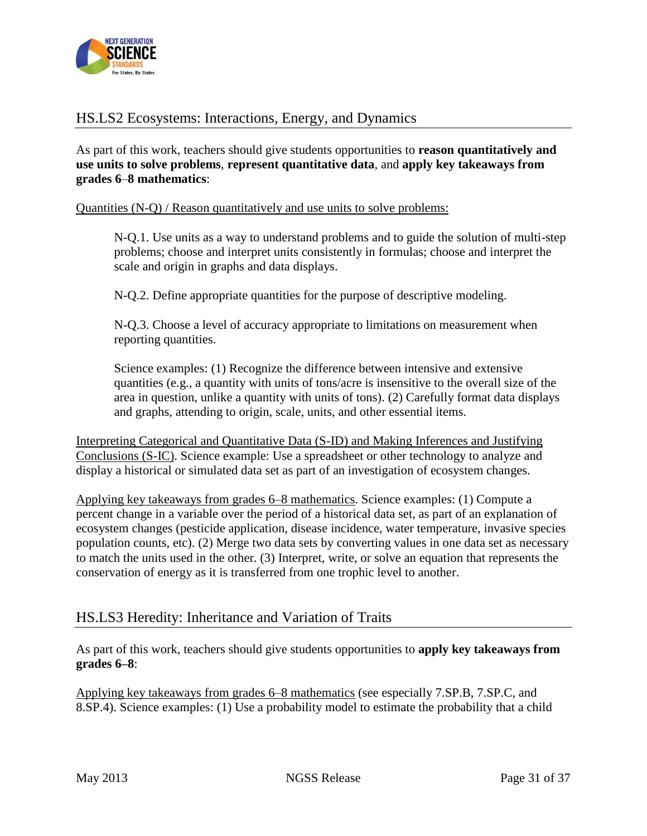

## HS.LS2 Ecosystems: Interactions, Energy, and Dynamics

As part of this work, teachers should give students opportunities to **reason quantitatively and use units to solve problems**, **represent quantitative data**, and **apply key takeaways from grades 6**–**8 mathematics**:

#### Quantities (N-Q) / Reason quantitatively and use units to solve problems:

N-Q.1. Use units as a way to understand problems and to guide the solution of multi-step problems; choose and interpret units consistently in formulas; choose and interpret the scale and origin in graphs and data displays.

N-Q.2. Define appropriate quantities for the purpose of descriptive modeling.

N-Q.3. Choose a level of accuracy appropriate to limitations on measurement when reporting quantities.

Science examples: (1) Recognize the difference between intensive and extensive quantities (e.g., a quantity with units of tons/acre is insensitive to the overall size of the area in question, unlike a quantity with units of tons). (2) Carefully format data displays and graphs, attending to origin, scale, units, and other essential items.

Interpreting Categorical and Quantitative Data (S-ID) and Making Inferences and Justifying Conclusions (S-IC). Science example: Use a spreadsheet or other technology to analyze and display a historical or simulated data set as part of an investigation of ecosystem changes.

Applying key takeaways from grades 6–8 mathematics. Science examples: (1) Compute a percent change in a variable over the period of a historical data set, as part of an explanation of ecosystem changes (pesticide application, disease incidence, water temperature, invasive species population counts, etc). (2) Merge two data sets by converting values in one data set as necessary to match the units used in the other. (3) Interpret, write, or solve an equation that represents the conservation of energy as it is transferred from one trophic level to another.

## HS.LS3 Heredity: Inheritance and Variation of Traits

As part of this work, teachers should give students opportunities to **apply key takeaways from grades 6–8**:

Applying key takeaways from grades 6–8 mathematics (see especially 7.SP.B, 7.SP.C, and 8.SP.4). Science examples: (1) Use a probability model to estimate the probability that a child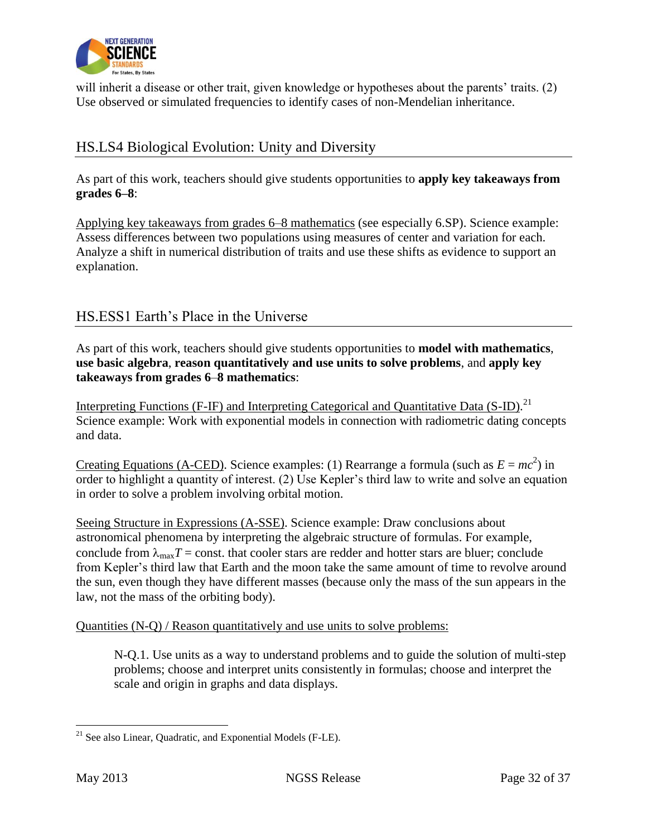

will inherit a disease or other trait, given knowledge or hypotheses about the parents' traits. (2) Use observed or simulated frequencies to identify cases of non-Mendelian inheritance.

# HS.LS4 Biological Evolution: Unity and Diversity

As part of this work, teachers should give students opportunities to **apply key takeaways from grades 6–8**:

Applying key takeaways from grades 6–8 mathematics (see especially 6.SP). Science example: Assess differences between two populations using measures of center and variation for each. Analyze a shift in numerical distribution of traits and use these shifts as evidence to support an explanation.

## HS.ESS1 Earth's Place in the Universe

As part of this work, teachers should give students opportunities to **model with mathematics**, **use basic algebra**, **reason quantitatively and use units to solve problems**, and **apply key takeaways from grades 6**–**8 mathematics**:

Interpreting Functions (F-IF) and Interpreting Categorical and Quantitative Data (S-ID).<sup>21</sup> Science example: Work with exponential models in connection with radiometric dating concepts and data.

Creating Equations (A-CED). Science examples: (1) Rearrange a formula (such as  $E = mc^2$ ) in order to highlight a quantity of interest. (2) Use Kepler's third law to write and solve an equation in order to solve a problem involving orbital motion.

Seeing Structure in Expressions (A-SSE). Science example: Draw conclusions about astronomical phenomena by interpreting the algebraic structure of formulas. For example, conclude from  $\lambda_{\text{max}}T$  = const. that cooler stars are redder and hotter stars are bluer; conclude from Kepler's third law that Earth and the moon take the same amount of time to revolve around the sun, even though they have different masses (because only the mass of the sun appears in the law, not the mass of the orbiting body).

#### Quantities (N-Q) / Reason quantitatively and use units to solve problems:

N-Q.1. Use units as a way to understand problems and to guide the solution of multi-step problems; choose and interpret units consistently in formulas; choose and interpret the scale and origin in graphs and data displays.

 $\overline{\phantom{a}}$  $21$  See also Linear, Quadratic, and Exponential Models (F-LE).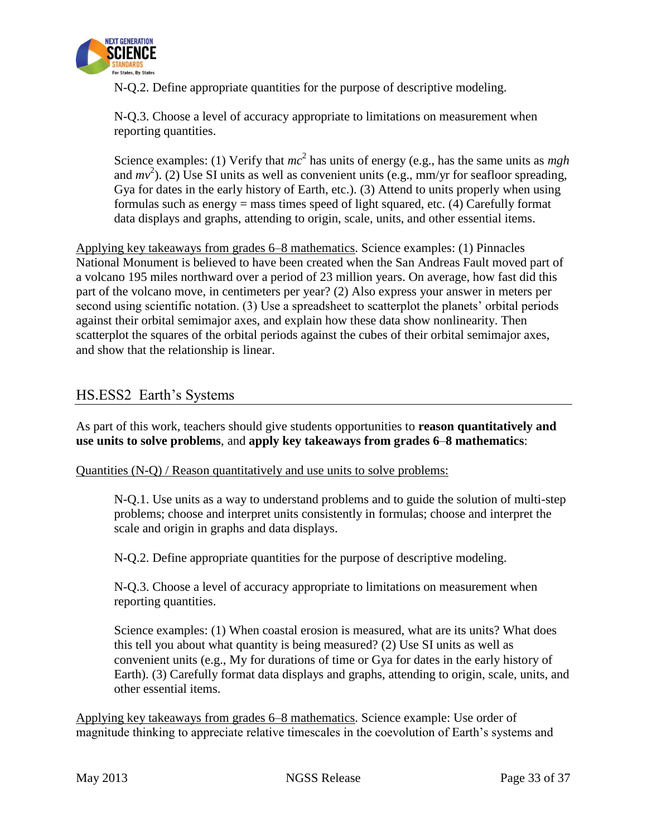

N-Q.2. Define appropriate quantities for the purpose of descriptive modeling.

N-Q.3. Choose a level of accuracy appropriate to limitations on measurement when reporting quantities.

Science examples: (1) Verify that  $mc^2$  has units of energy (e.g., has the same units as *mgh* and  $mv^2$ ). (2) Use SI units as well as convenient units (e.g., mm/yr for seafloor spreading, Gya for dates in the early history of Earth, etc.). (3) Attend to units properly when using formulas such as energy = mass times speed of light squared, etc. (4) Carefully format data displays and graphs, attending to origin, scale, units, and other essential items.

Applying key takeaways from grades 6–8 mathematics. Science examples: (1) Pinnacles National Monument is believed to have been created when the San Andreas Fault moved part of a volcano 195 miles northward over a period of 23 million years. On average, how fast did this part of the volcano move, in centimeters per year? (2) Also express your answer in meters per second using scientific notation. (3) Use a spreadsheet to scatterplot the planets' orbital periods against their orbital semimajor axes, and explain how these data show nonlinearity. Then scatterplot the squares of the orbital periods against the cubes of their orbital semimajor axes, and show that the relationship is linear.

## HS.ESS2 Earth's Systems

As part of this work, teachers should give students opportunities to **reason quantitatively and use units to solve problems**, and **apply key takeaways from grades 6**–**8 mathematics**:

#### Quantities (N-Q) / Reason quantitatively and use units to solve problems:

N-Q.1. Use units as a way to understand problems and to guide the solution of multi-step problems; choose and interpret units consistently in formulas; choose and interpret the scale and origin in graphs and data displays.

N-Q.2. Define appropriate quantities for the purpose of descriptive modeling.

N-Q.3. Choose a level of accuracy appropriate to limitations on measurement when reporting quantities.

Science examples: (1) When coastal erosion is measured, what are its units? What does this tell you about what quantity is being measured? (2) Use SI units as well as convenient units (e.g., My for durations of time or Gya for dates in the early history of Earth). (3) Carefully format data displays and graphs, attending to origin, scale, units, and other essential items.

Applying key takeaways from grades 6–8 mathematics. Science example: Use order of magnitude thinking to appreciate relative timescales in the coevolution of Earth's systems and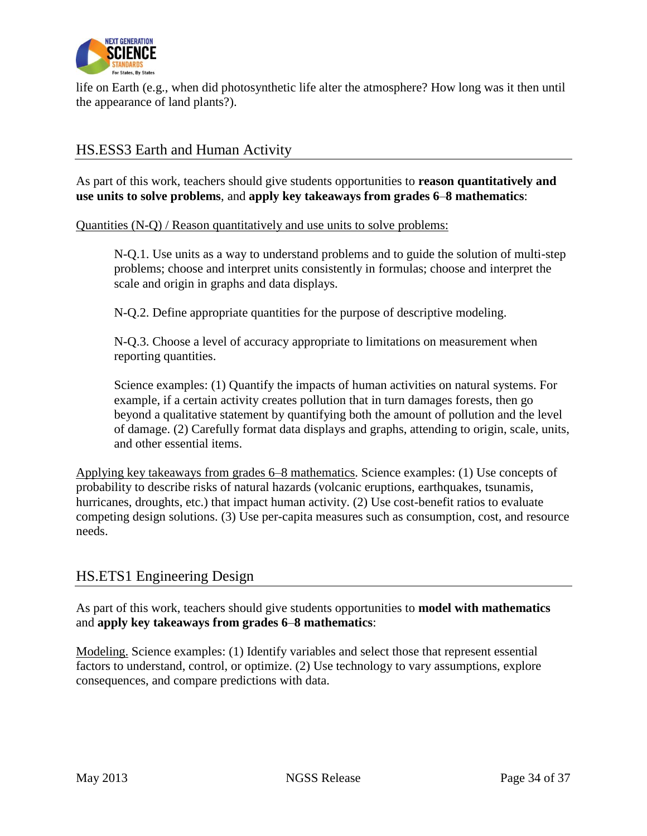

life on Earth (e.g., when did photosynthetic life alter the atmosphere? How long was it then until the appearance of land plants?).

## HS.ESS3 Earth and Human Activity

As part of this work, teachers should give students opportunities to **reason quantitatively and use units to solve problems**, and **apply key takeaways from grades 6**–**8 mathematics**:

Quantities (N-Q) / Reason quantitatively and use units to solve problems:

N-Q.1. Use units as a way to understand problems and to guide the solution of multi-step problems; choose and interpret units consistently in formulas; choose and interpret the scale and origin in graphs and data displays.

N-Q.2. Define appropriate quantities for the purpose of descriptive modeling.

N-Q.3. Choose a level of accuracy appropriate to limitations on measurement when reporting quantities.

Science examples: (1) Quantify the impacts of human activities on natural systems. For example, if a certain activity creates pollution that in turn damages forests, then go beyond a qualitative statement by quantifying both the amount of pollution and the level of damage. (2) Carefully format data displays and graphs, attending to origin, scale, units, and other essential items.

Applying key takeaways from grades 6–8 mathematics. Science examples: (1) Use concepts of probability to describe risks of natural hazards (volcanic eruptions, earthquakes, tsunamis, hurricanes, droughts, etc.) that impact human activity. (2) Use cost-benefit ratios to evaluate competing design solutions. (3) Use per-capita measures such as consumption, cost, and resource needs.

## HS.ETS1 Engineering Design

As part of this work, teachers should give students opportunities to **model with mathematics** and **apply key takeaways from grades 6**–**8 mathematics**:

Modeling. Science examples: (1) Identify variables and select those that represent essential factors to understand, control, or optimize. (2) Use technology to vary assumptions, explore consequences, and compare predictions with data.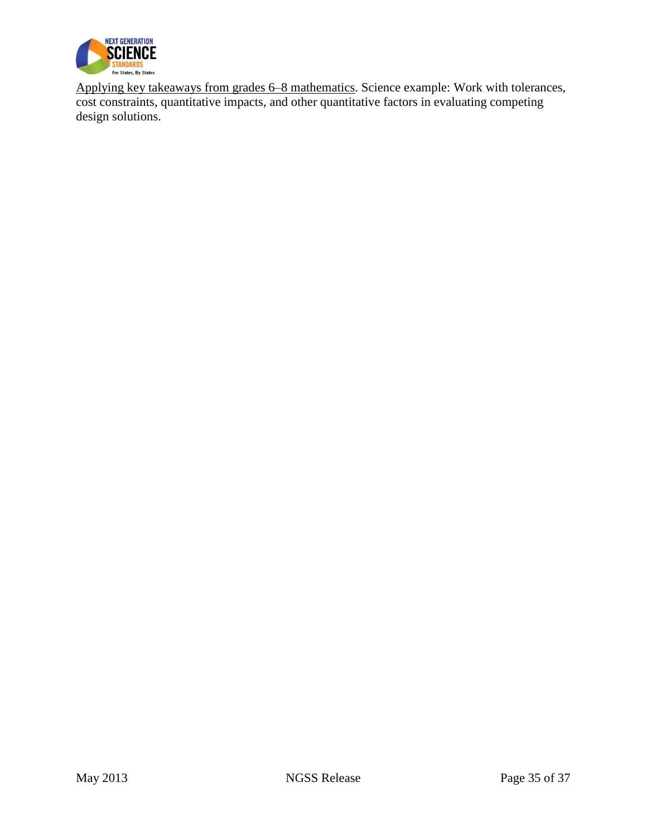

Applying key takeaways from grades 6–8 mathematics. Science example: Work with tolerances, cost constraints, quantitative impacts, and other quantitative factors in evaluating competing design solutions.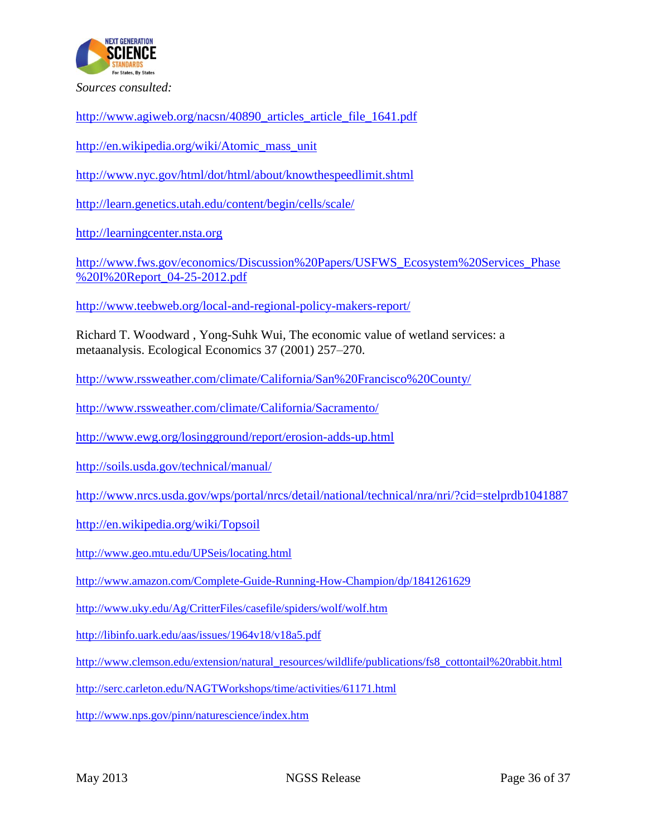

*Sources consulted:*

[http://www.agiweb.org/nacsn/40890\\_articles\\_article\\_file\\_1641.pdf](http://www.agiweb.org/nacsn/40890_articles_article_file_1641.pdf)

[http://en.wikipedia.org/wiki/Atomic\\_mass\\_unit](http://en.wikipedia.org/wiki/Atomic_mass_unit)

<http://www.nyc.gov/html/dot/html/about/knowthespeedlimit.shtml>

<http://learn.genetics.utah.edu/content/begin/cells/scale/>

[http://learningcenter.nsta.org](http://learningcenter.nsta.org/)

[http://www.fws.gov/economics/Discussion%20Papers/USFWS\\_Ecosystem%20Services\\_Phase](http://www.fws.gov/economics/Discussion%20Papers/USFWS_Ecosystem%20Services_Phase%20I%20Report_04-25-2012.pdf) [%20I%20Report\\_04-25-2012.pdf](http://www.fws.gov/economics/Discussion%20Papers/USFWS_Ecosystem%20Services_Phase%20I%20Report_04-25-2012.pdf)

<http://www.teebweb.org/local-and-regional-policy-makers-report/>

Richard T. Woodward , Yong-Suhk Wui, The economic value of wetland services: a metaanalysis. Ecological Economics 37 (2001) 257–270.

<http://www.rssweather.com/climate/California/San%20Francisco%20County/>

<http://www.rssweather.com/climate/California/Sacramento/>

<http://www.ewg.org/losingground/report/erosion-adds-up.html>

<http://soils.usda.gov/technical/manual/>

<http://www.nrcs.usda.gov/wps/portal/nrcs/detail/national/technical/nra/nri/?cid=stelprdb1041887>

<http://en.wikipedia.org/wiki/Topsoil>

<http://www.geo.mtu.edu/UPSeis/locating.html>

<http://www.amazon.com/Complete-Guide-Running-How-Champion/dp/1841261629>

<http://www.uky.edu/Ag/CritterFiles/casefile/spiders/wolf/wolf.htm>

<http://libinfo.uark.edu/aas/issues/1964v18/v18a5.pdf>

[http://www.clemson.edu/extension/natural\\_resources/wildlife/publications/fs8\\_cottontail%20rabbit.html](http://www.clemson.edu/extension/natural_resources/wildlife/publications/fs8_cottontail%20rabbit.html)

<http://serc.carleton.edu/NAGTWorkshops/time/activities/61171.html>

<http://www.nps.gov/pinn/naturescience/index.htm>